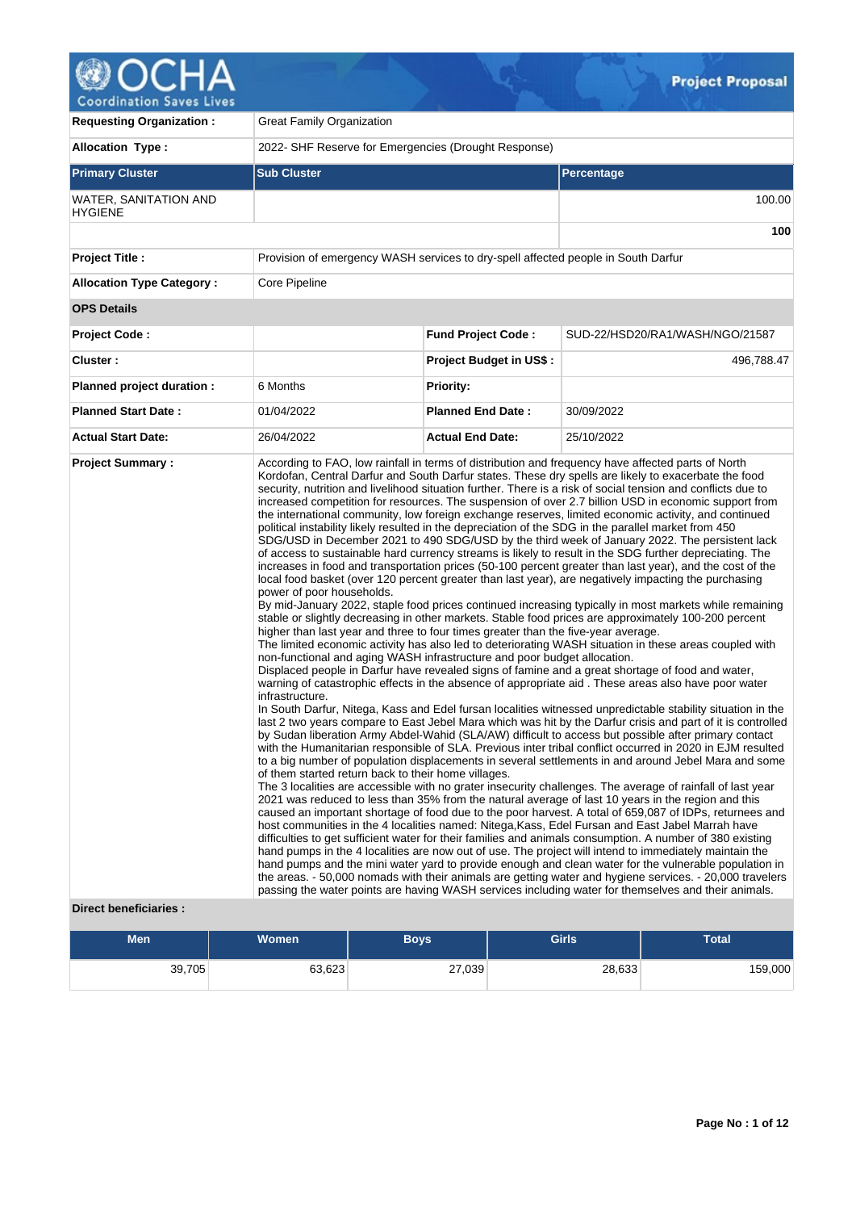

| <b>Allocation Type:</b><br>2022- SHF Reserve for Emergencies (Drought Response)<br><b>Primary Cluster</b><br><b>Sub Cluster</b><br><b>Percentage</b><br>WATER, SANITATION AND<br><b>HYGIENE</b><br>Provision of emergency WASH services to dry-spell affected people in South Darfur<br><b>Project Title:</b><br><b>Allocation Type Category:</b><br>Core Pipeline<br><b>OPS Details</b><br><b>Fund Project Code:</b><br><b>Project Code:</b><br>Cluster:<br><b>Project Budget in US\$:</b><br>Planned project duration :<br>6 Months<br><b>Priority:</b><br><b>Planned Start Date:</b><br><b>Planned End Date:</b><br>01/04/2022<br>30/09/2022<br><b>Actual Start Date:</b><br>26/04/2022<br><b>Actual End Date:</b><br>25/10/2022<br><b>Project Summary:</b><br>According to FAO, low rainfall in terms of distribution and frequency have affected parts of North<br>Kordofan, Central Darfur and South Darfur states. These dry spells are likely to exacerbate the food<br>security, nutrition and livelihood situation further. There is a risk of social tension and conflicts due to<br>increased competition for resources. The suspension of over 2.7 billion USD in economic support from<br>the international community, low foreign exchange reserves, limited economic activity, and continued<br>political instability likely resulted in the depreciation of the SDG in the parallel market from 450<br>SDG/USD in December 2021 to 490 SDG/USD by the third week of January 2022. The persistent lack<br>of access to sustainable hard currency streams is likely to result in the SDG further depreciating. The<br>increases in food and transportation prices (50-100 percent greater than last year), and the cost of the<br>local food basket (over 120 percent greater than last year), are negatively impacting the purchasing<br>power of poor households.<br>By mid-January 2022, staple food prices continued increasing typically in most markets while remaining<br>stable or slightly decreasing in other markets. Stable food prices are approximately 100-200 percent                                          | <b>Requesting Organization:</b> | <b>Great Family Organization</b> |  |  |  |  |  |  |
|-----------------------------------------------------------------------------------------------------------------------------------------------------------------------------------------------------------------------------------------------------------------------------------------------------------------------------------------------------------------------------------------------------------------------------------------------------------------------------------------------------------------------------------------------------------------------------------------------------------------------------------------------------------------------------------------------------------------------------------------------------------------------------------------------------------------------------------------------------------------------------------------------------------------------------------------------------------------------------------------------------------------------------------------------------------------------------------------------------------------------------------------------------------------------------------------------------------------------------------------------------------------------------------------------------------------------------------------------------------------------------------------------------------------------------------------------------------------------------------------------------------------------------------------------------------------------------------------------------------------------------------------------------------------------------------------------------------------------------------------------------------------------------------------------------------------------------------------------------------------------------------------------------------------------------------------------------------------------------------------------------------------------------------------------------------------------------------------------------------------------------------------------|---------------------------------|----------------------------------|--|--|--|--|--|--|
|                                                                                                                                                                                                                                                                                                                                                                                                                                                                                                                                                                                                                                                                                                                                                                                                                                                                                                                                                                                                                                                                                                                                                                                                                                                                                                                                                                                                                                                                                                                                                                                                                                                                                                                                                                                                                                                                                                                                                                                                                                                                                                                                               |                                 |                                  |  |  |  |  |  |  |
|                                                                                                                                                                                                                                                                                                                                                                                                                                                                                                                                                                                                                                                                                                                                                                                                                                                                                                                                                                                                                                                                                                                                                                                                                                                                                                                                                                                                                                                                                                                                                                                                                                                                                                                                                                                                                                                                                                                                                                                                                                                                                                                                               |                                 |                                  |  |  |  |  |  |  |
|                                                                                                                                                                                                                                                                                                                                                                                                                                                                                                                                                                                                                                                                                                                                                                                                                                                                                                                                                                                                                                                                                                                                                                                                                                                                                                                                                                                                                                                                                                                                                                                                                                                                                                                                                                                                                                                                                                                                                                                                                                                                                                                                               |                                 | 100.00                           |  |  |  |  |  |  |
|                                                                                                                                                                                                                                                                                                                                                                                                                                                                                                                                                                                                                                                                                                                                                                                                                                                                                                                                                                                                                                                                                                                                                                                                                                                                                                                                                                                                                                                                                                                                                                                                                                                                                                                                                                                                                                                                                                                                                                                                                                                                                                                                               |                                 | 100                              |  |  |  |  |  |  |
|                                                                                                                                                                                                                                                                                                                                                                                                                                                                                                                                                                                                                                                                                                                                                                                                                                                                                                                                                                                                                                                                                                                                                                                                                                                                                                                                                                                                                                                                                                                                                                                                                                                                                                                                                                                                                                                                                                                                                                                                                                                                                                                                               |                                 |                                  |  |  |  |  |  |  |
|                                                                                                                                                                                                                                                                                                                                                                                                                                                                                                                                                                                                                                                                                                                                                                                                                                                                                                                                                                                                                                                                                                                                                                                                                                                                                                                                                                                                                                                                                                                                                                                                                                                                                                                                                                                                                                                                                                                                                                                                                                                                                                                                               |                                 |                                  |  |  |  |  |  |  |
|                                                                                                                                                                                                                                                                                                                                                                                                                                                                                                                                                                                                                                                                                                                                                                                                                                                                                                                                                                                                                                                                                                                                                                                                                                                                                                                                                                                                                                                                                                                                                                                                                                                                                                                                                                                                                                                                                                                                                                                                                                                                                                                                               |                                 |                                  |  |  |  |  |  |  |
|                                                                                                                                                                                                                                                                                                                                                                                                                                                                                                                                                                                                                                                                                                                                                                                                                                                                                                                                                                                                                                                                                                                                                                                                                                                                                                                                                                                                                                                                                                                                                                                                                                                                                                                                                                                                                                                                                                                                                                                                                                                                                                                                               |                                 | SUD-22/HSD20/RA1/WASH/NGO/21587  |  |  |  |  |  |  |
|                                                                                                                                                                                                                                                                                                                                                                                                                                                                                                                                                                                                                                                                                                                                                                                                                                                                                                                                                                                                                                                                                                                                                                                                                                                                                                                                                                                                                                                                                                                                                                                                                                                                                                                                                                                                                                                                                                                                                                                                                                                                                                                                               |                                 | 496,788.47                       |  |  |  |  |  |  |
|                                                                                                                                                                                                                                                                                                                                                                                                                                                                                                                                                                                                                                                                                                                                                                                                                                                                                                                                                                                                                                                                                                                                                                                                                                                                                                                                                                                                                                                                                                                                                                                                                                                                                                                                                                                                                                                                                                                                                                                                                                                                                                                                               |                                 |                                  |  |  |  |  |  |  |
|                                                                                                                                                                                                                                                                                                                                                                                                                                                                                                                                                                                                                                                                                                                                                                                                                                                                                                                                                                                                                                                                                                                                                                                                                                                                                                                                                                                                                                                                                                                                                                                                                                                                                                                                                                                                                                                                                                                                                                                                                                                                                                                                               |                                 |                                  |  |  |  |  |  |  |
|                                                                                                                                                                                                                                                                                                                                                                                                                                                                                                                                                                                                                                                                                                                                                                                                                                                                                                                                                                                                                                                                                                                                                                                                                                                                                                                                                                                                                                                                                                                                                                                                                                                                                                                                                                                                                                                                                                                                                                                                                                                                                                                                               |                                 |                                  |  |  |  |  |  |  |
| higher than last year and three to four times greater than the five-year average.<br>The limited economic activity has also led to deteriorating WASH situation in these areas coupled with<br>non-functional and aging WASH infrastructure and poor budget allocation.<br>Displaced people in Darfur have revealed signs of famine and a great shortage of food and water,<br>warning of catastrophic effects in the absence of appropriate aid. These areas also have poor water<br>infrastructure.<br>In South Darfur, Nitega, Kass and Edel fursan localities witnessed unpredictable stability situation in the<br>last 2 two years compare to East Jebel Mara which was hit by the Darfur crisis and part of it is controlled<br>by Sudan liberation Army Abdel-Wahid (SLA/AW) difficult to access but possible after primary contact<br>with the Humanitarian responsible of SLA. Previous inter tribal conflict occurred in 2020 in EJM resulted<br>to a big number of population displacements in several settlements in and around Jebel Mara and some<br>of them started return back to their home villages.<br>The 3 localities are accessible with no grater insecurity challenges. The average of rainfall of last year<br>2021 was reduced to less than 35% from the natural average of last 10 years in the region and this<br>caused an important shortage of food due to the poor harvest. A total of 659,087 of IDPs, returnees and<br>host communities in the 4 localities named: Nitega, Kass, Edel Fursan and East Jabel Marrah have<br>difficulties to get sufficient water for their families and animals consumption. A number of 380 existing<br>hand pumps in the 4 localities are now out of use. The project will intend to immediately maintain the<br>hand pumps and the mini water yard to provide enough and clean water for the vulnerable population in<br>the areas. - 50,000 nomads with their animals are getting water and hygiene services. - 20,000 travelers<br>passing the water points are having WASH services including water for themselves and their animals.<br><b>Direct beneficiaries:</b> |                                 |                                  |  |  |  |  |  |  |

 $Q_{\tau}$ 

| Men    | Women  | Boys   | <b>Girls</b> | <b>Total</b> |
|--------|--------|--------|--------------|--------------|
| 39,705 | 63,623 | 27,039 | 28,633       | 159,000      |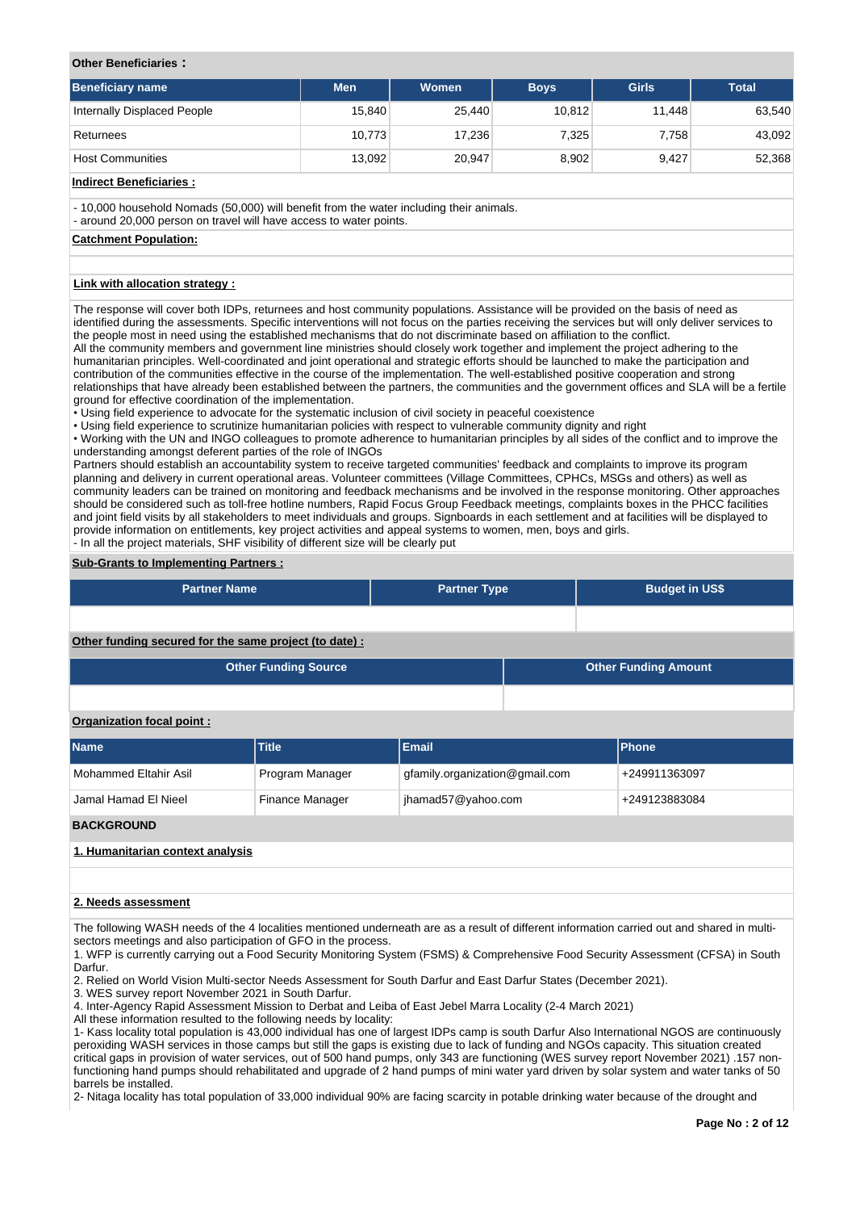#### **Other Beneficiaries :**

| Beneficiary name            | <b>Men</b> | Women  | <b>Boys</b> | <b>Girls</b> | <b>Total</b> |
|-----------------------------|------------|--------|-------------|--------------|--------------|
| Internally Displaced People | 15.840     | 25,440 | 10.812      | 11.448       | 63,540       |
| Returnees                   | 10.773     | 17.236 | 7.325       | 7.758        | 43,092       |
| <b>Host Communities</b>     | 13.092     | 20,947 | 8,902       | 9.427        | 52,368       |

## **Indirect Beneficiaries :**

- 10,000 household Nomads (50,000) will benefit from the water including their animals.

- around 20,000 person on travel will have access to water points.

#### **Catchment Population:**

# **Link with allocation strategy :**

The response will cover both IDPs, returnees and host community populations. Assistance will be provided on the basis of need as identified during the assessments. Specific interventions will not focus on the parties receiving the services but will only deliver services to the people most in need using the established mechanisms that do not discriminate based on affiliation to the conflict.

All the community members and government line ministries should closely work together and implement the project adhering to the humanitarian principles. Well-coordinated and joint operational and strategic efforts should be launched to make the participation and contribution of the communities effective in the course of the implementation. The well-established positive cooperation and strong relationships that have already been established between the partners, the communities and the government offices and SLA will be a fertile ground for effective coordination of the implementation.

• Using field experience to advocate for the systematic inclusion of civil society in peaceful coexistence

• Using field experience to scrutinize humanitarian policies with respect to vulnerable community dignity and right

• Working with the UN and INGO colleagues to promote adherence to humanitarian principles by all sides of the conflict and to improve the understanding amongst deferent parties of the role of INGOs

Partners should establish an accountability system to receive targeted communities' feedback and complaints to improve its program planning and delivery in current operational areas. Volunteer committees (Village Committees, CPHCs, MSGs and others) as well as community leaders can be trained on monitoring and feedback mechanisms and be involved in the response monitoring. Other approaches should be considered such as toll-free hotline numbers, Rapid Focus Group Feedback meetings, complaints boxes in the PHCC facilities and joint field visits by all stakeholders to meet individuals and groups. Signboards in each settlement and at facilities will be displayed to provide information on entitlements, key project activities and appeal systems to women, men, boys and girls. - In all the project materials, SHF visibility of different size will be clearly put

#### **Sub-Grants to Implementing Partners :**

| <b>Partner Name</b> | <b>Partner Type</b> | <b>Budget in US\$</b> |
|---------------------|---------------------|-----------------------|
|                     |                     |                       |

**Other funding secured for the same project (to date) :**

| <b>Other Funding Source</b> | <b>Other Funding Amount</b> |
|-----------------------------|-----------------------------|
|                             |                             |

#### **Organization focal point :**

| <b>Name</b>           | <b>Title</b>    | <b>Email</b>                   | <b>Phone</b>  |
|-----------------------|-----------------|--------------------------------|---------------|
| Mohammed Eltahir Asil | Program Manager | gfamily.organization@gmail.com | +249911363097 |
| Jamal Hamad El Nieel  | Finance Manager | jhamad57@yahoo.com             | +249123883084 |
| <b>BACKGROUND</b>     |                 |                                |               |

**1. Humanitarian context analysis**

#### **2. Needs assessment**

The following WASH needs of the 4 localities mentioned underneath are as a result of different information carried out and shared in multisectors meetings and also participation of GFO in the process.

1. WFP is currently carrying out a Food Security Monitoring System (FSMS) & Comprehensive Food Security Assessment (CFSA) in South Darfur.

2. Relied on World Vision Multi-sector Needs Assessment for South Darfur and East Darfur States (December 2021).

3. WES survey report November 2021 in South Darfur.

4. Inter-Agency Rapid Assessment Mission to Derbat and Leiba of East Jebel Marra Locality (2-4 March 2021)

All these information resulted to the following needs by locality:

1- Kass locality total population is 43,000 individual has one of largest IDPs camp is south Darfur Also International NGOS are continuously peroxiding WASH services in those camps but still the gaps is existing due to lack of funding and NGOs capacity. This situation created critical gaps in provision of water services, out of 500 hand pumps, only 343 are functioning (WES survey report November 2021) .157 nonfunctioning hand pumps should rehabilitated and upgrade of 2 hand pumps of mini water yard driven by solar system and water tanks of 50 barrels be installed.

2- Nitaga locality has total population of 33,000 individual 90% are facing scarcity in potable drinking water because of the drought and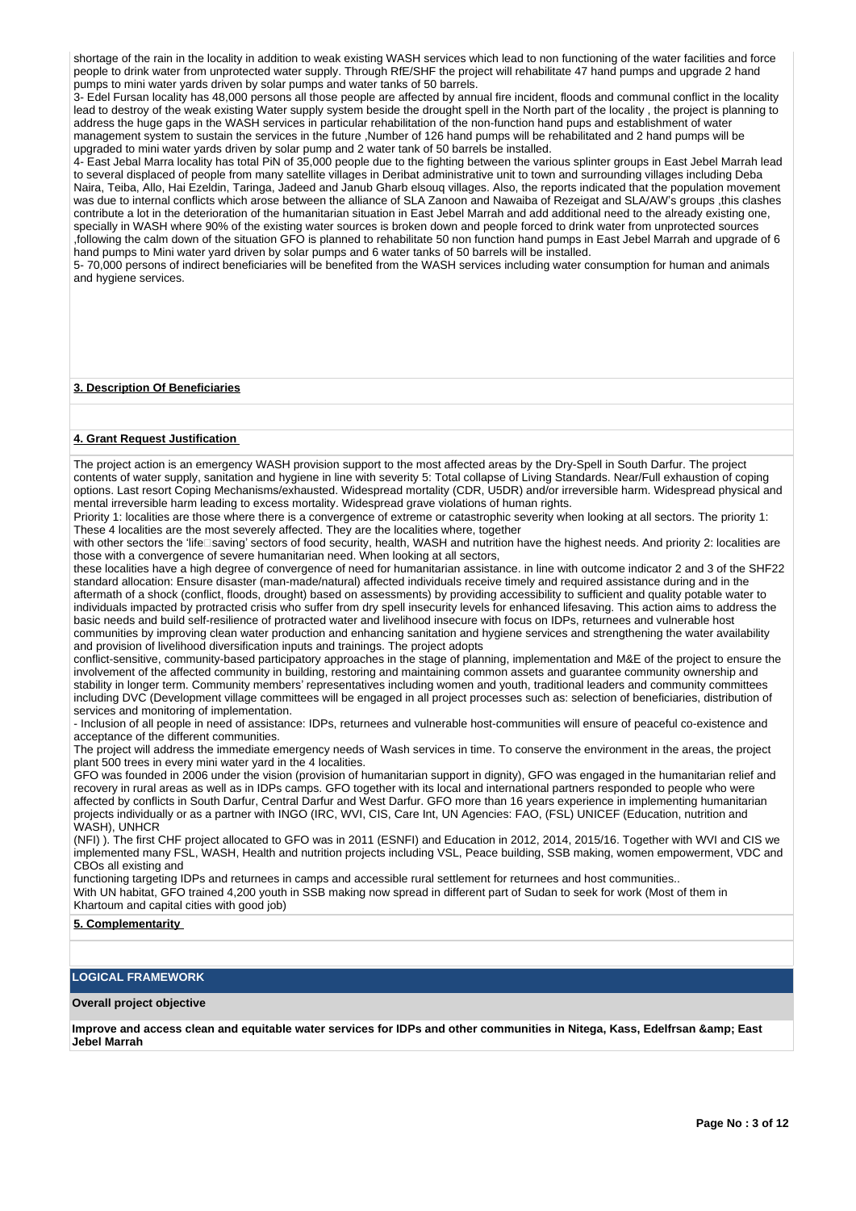shortage of the rain in the locality in addition to weak existing WASH services which lead to non functioning of the water facilities and force people to drink water from unprotected water supply. Through RfE/SHF the project will rehabilitate 47 hand pumps and upgrade 2 hand pumps to mini water yards driven by solar pumps and water tanks of 50 barrels.

3- Edel Fursan locality has 48,000 persons all those people are affected by annual fire incident, floods and communal conflict in the locality lead to destroy of the weak existing Water supply system beside the drought spell in the North part of the locality , the project is planning to address the huge gaps in the WASH services in particular rehabilitation of the non-function hand pups and establishment of water management system to sustain the services in the future ,Number of 126 hand pumps will be rehabilitated and 2 hand pumps will be upgraded to mini water yards driven by solar pump and 2 water tank of 50 barrels be installed.

4- East Jebal Marra locality has total PiN of 35,000 people due to the fighting between the various splinter groups in East Jebel Marrah lead to several displaced of people from many satellite villages in Deribat administrative unit to town and surrounding villages including Deba Naira, Teiba, Allo, Hai Ezeldin, Taringa, Jadeed and Janub Gharb elsouq villages. Also, the reports indicated that the population movement was due to internal conflicts which arose between the alliance of SLA Zanoon and Nawaiba of Rezeigat and SLA/AW's groups ,this clashes contribute a lot in the deterioration of the humanitarian situation in East Jebel Marrah and add additional need to the already existing one, specially in WASH where 90% of the existing water sources is broken down and people forced to drink water from unprotected sources ,following the calm down of the situation GFO is planned to rehabilitate 50 non function hand pumps in East Jebel Marrah and upgrade of 6 hand pumps to Mini water yard driven by solar pumps and 6 water tanks of 50 barrels will be installed.

5- 70,000 persons of indirect beneficiaries will be benefited from the WASH services including water consumption for human and animals and hygiene services.

## **3. Description Of Beneficiaries**

#### **4. Grant Request Justification**

The project action is an emergency WASH provision support to the most affected areas by the Dry-Spell in South Darfur. The project contents of water supply, sanitation and hygiene in line with severity 5: Total collapse of Living Standards. Near/Full exhaustion of coping options. Last resort Coping Mechanisms/exhausted. Widespread mortality (CDR, U5DR) and/or irreversible harm. Widespread physical and mental irreversible harm leading to excess mortality. Widespread grave violations of human rights.

Priority 1: localities are those where there is a convergence of extreme or catastrophic severity when looking at all sectors. The priority 1: These 4 localities are the most severely affected. They are the localities where, together

with other sectors the 'life⊡saving' sectors of food security, health, WASH and nutrition have the highest needs. And priority 2: localities are those with a convergence of severe humanitarian need. When looking at all sectors,

these localities have a high degree of convergence of need for humanitarian assistance. in line with outcome indicator 2 and 3 of the SHF22 standard allocation: Ensure disaster (man-made/natural) affected individuals receive timely and required assistance during and in the aftermath of a shock (conflict, floods, drought) based on assessments) by providing accessibility to sufficient and quality potable water to individuals impacted by protracted crisis who suffer from dry spell insecurity levels for enhanced lifesaving. This action aims to address the basic needs and build self-resilience of protracted water and livelihood insecure with focus on IDPs, returnees and vulnerable host communities by improving clean water production and enhancing sanitation and hygiene services and strengthening the water availability and provision of livelihood diversification inputs and trainings. The project adopts

conflict-sensitive, community-based participatory approaches in the stage of planning, implementation and M&E of the project to ensure the involvement of the affected community in building, restoring and maintaining common assets and guarantee community ownership and stability in longer term. Community members' representatives including women and youth, traditional leaders and community committees including DVC (Development village committees will be engaged in all project processes such as: selection of beneficiaries, distribution of services and monitoring of implementation.

- Inclusion of all people in need of assistance: IDPs, returnees and vulnerable host-communities will ensure of peaceful co-existence and acceptance of the different communities.

The project will address the immediate emergency needs of Wash services in time. To conserve the environment in the areas, the project plant 500 trees in every mini water yard in the 4 localities.

GFO was founded in 2006 under the vision (provision of humanitarian support in dignity), GFO was engaged in the humanitarian relief and recovery in rural areas as well as in IDPs camps. GFO together with its local and international partners responded to people who were affected by conflicts in South Darfur, Central Darfur and West Darfur. GFO more than 16 years experience in implementing humanitarian projects individually or as a partner with INGO (IRC, WVI, CIS, Care Int, UN Agencies: FAO, (FSL) UNICEF (Education, nutrition and WASH), UNHCR

(NFI) ). The first CHF project allocated to GFO was in 2011 (ESNFI) and Education in 2012, 2014, 2015/16. Together with WVI and CIS we implemented many FSL, WASH, Health and nutrition projects including VSL, Peace building, SSB making, women empowerment, VDC and CBOs all existing and

functioning targeting IDPs and returnees in camps and accessible rural settlement for returnees and host communities.. With UN habitat, GFO trained 4,200 youth in SSB making now spread in different part of Sudan to seek for work (Most of them in Khartoum and capital cities with good job)

#### **5. Complementarity**

## **LOGICAL FRAMEWORK**

#### **Overall project objective**

**Improve and access clean and equitable water services for IDPs and other communities in Nitega, Kass, Edelfrsan & East Jebel Marrah**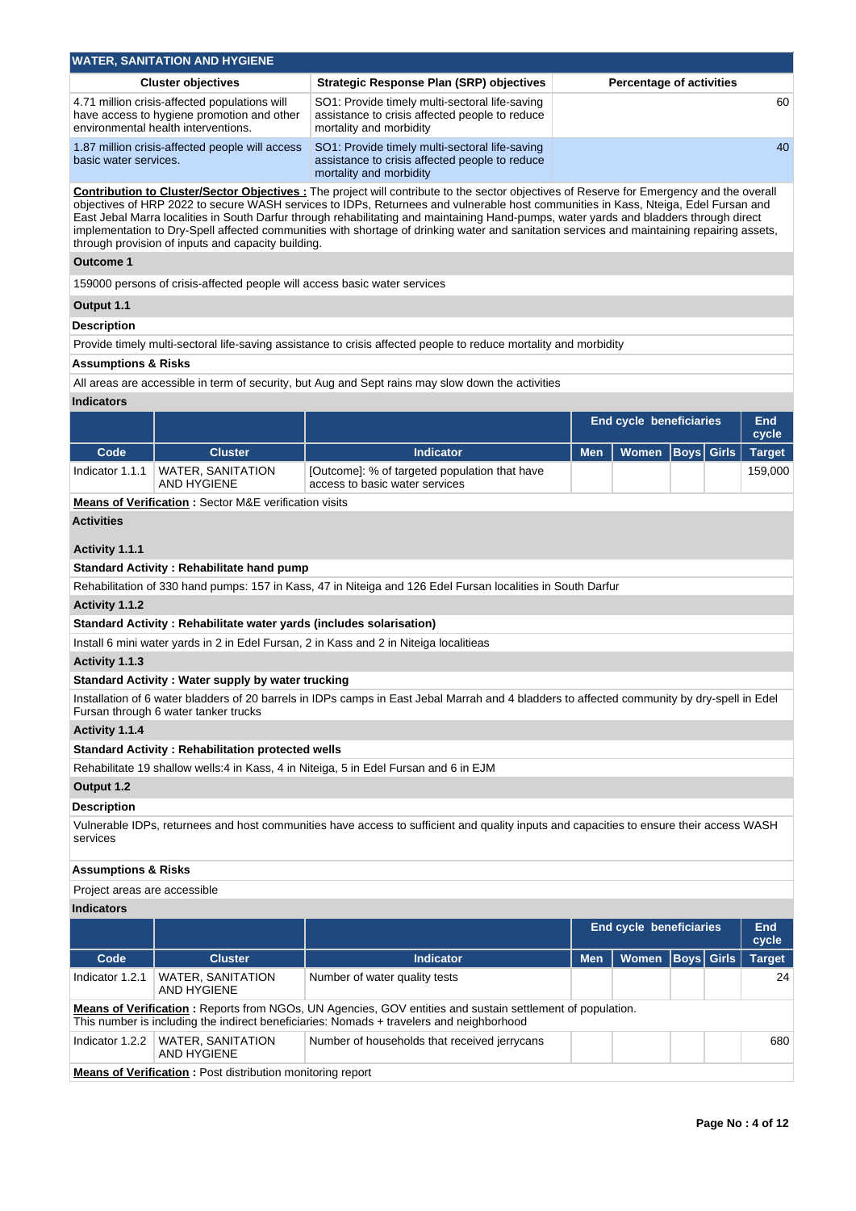|                                | <b>WATER, SANITATION AND HYGIENE</b>                                                                                               |                                                                                                                                                                                                                                                                                                                                                                                                                                                                                                                                                                         |            |                                 |                   |  |               |  |
|--------------------------------|------------------------------------------------------------------------------------------------------------------------------------|-------------------------------------------------------------------------------------------------------------------------------------------------------------------------------------------------------------------------------------------------------------------------------------------------------------------------------------------------------------------------------------------------------------------------------------------------------------------------------------------------------------------------------------------------------------------------|------------|---------------------------------|-------------------|--|---------------|--|
|                                | <b>Cluster objectives</b>                                                                                                          | <b>Strategic Response Plan (SRP) objectives</b>                                                                                                                                                                                                                                                                                                                                                                                                                                                                                                                         |            | <b>Percentage of activities</b> |                   |  |               |  |
|                                | 4.71 million crisis-affected populations will<br>have access to hygiene promotion and other<br>environmental health interventions. | SO1: Provide timely multi-sectoral life-saving<br>assistance to crisis affected people to reduce<br>mortality and morbidity                                                                                                                                                                                                                                                                                                                                                                                                                                             |            |                                 |                   |  | 60            |  |
| basic water services.          | 1.87 million crisis-affected people will access                                                                                    | SO1: Provide timely multi-sectoral life-saving<br>assistance to crisis affected people to reduce<br>mortality and morbidity                                                                                                                                                                                                                                                                                                                                                                                                                                             |            |                                 |                   |  |               |  |
|                                | through provision of inputs and capacity building.                                                                                 | Contribution to Cluster/Sector Objectives : The project will contribute to the sector objectives of Reserve for Emergency and the overall<br>objectives of HRP 2022 to secure WASH services to IDPs, Returnees and vulnerable host communities in Kass, Nteiga, Edel Fursan and<br>East Jebal Marra localities in South Darfur through rehabilitating and maintaining Hand-pumps, water yards and bladders through direct<br>implementation to Dry-Spell affected communities with shortage of drinking water and sanitation services and maintaining repairing assets, |            |                                 |                   |  |               |  |
| <b>Outcome 1</b>               |                                                                                                                                    |                                                                                                                                                                                                                                                                                                                                                                                                                                                                                                                                                                         |            |                                 |                   |  |               |  |
|                                | 159000 persons of crisis-affected people will access basic water services                                                          |                                                                                                                                                                                                                                                                                                                                                                                                                                                                                                                                                                         |            |                                 |                   |  |               |  |
| Output 1.1                     |                                                                                                                                    |                                                                                                                                                                                                                                                                                                                                                                                                                                                                                                                                                                         |            |                                 |                   |  |               |  |
| <b>Description</b>             |                                                                                                                                    |                                                                                                                                                                                                                                                                                                                                                                                                                                                                                                                                                                         |            |                                 |                   |  |               |  |
|                                |                                                                                                                                    | Provide timely multi-sectoral life-saving assistance to crisis affected people to reduce mortality and morbidity                                                                                                                                                                                                                                                                                                                                                                                                                                                        |            |                                 |                   |  |               |  |
| <b>Assumptions &amp; Risks</b> |                                                                                                                                    |                                                                                                                                                                                                                                                                                                                                                                                                                                                                                                                                                                         |            |                                 |                   |  |               |  |
|                                |                                                                                                                                    | All areas are accessible in term of security, but Aug and Sept rains may slow down the activities                                                                                                                                                                                                                                                                                                                                                                                                                                                                       |            |                                 |                   |  |               |  |
| <b>Indicators</b>              |                                                                                                                                    |                                                                                                                                                                                                                                                                                                                                                                                                                                                                                                                                                                         |            |                                 |                   |  |               |  |
|                                |                                                                                                                                    |                                                                                                                                                                                                                                                                                                                                                                                                                                                                                                                                                                         |            | <b>End cycle beneficiaries</b>  |                   |  | End<br>cycle  |  |
| Code                           | <b>Cluster</b>                                                                                                                     | Indicator                                                                                                                                                                                                                                                                                                                                                                                                                                                                                                                                                               | <b>Men</b> | Women                           | <b>Boys</b> Girls |  | <b>Target</b> |  |
| Indicator 1.1.1                | <b>WATER, SANITATION</b><br><b>AND HYGIENE</b>                                                                                     | [Outcome]: % of targeted population that have<br>access to basic water services                                                                                                                                                                                                                                                                                                                                                                                                                                                                                         |            |                                 |                   |  | 159,000       |  |
|                                | <b>Means of Verification: Sector M&amp;E verification visits</b>                                                                   |                                                                                                                                                                                                                                                                                                                                                                                                                                                                                                                                                                         |            |                                 |                   |  |               |  |
| <b>Activities</b>              |                                                                                                                                    |                                                                                                                                                                                                                                                                                                                                                                                                                                                                                                                                                                         |            |                                 |                   |  |               |  |
|                                |                                                                                                                                    |                                                                                                                                                                                                                                                                                                                                                                                                                                                                                                                                                                         |            |                                 |                   |  |               |  |
| Activity 1.1.1                 |                                                                                                                                    |                                                                                                                                                                                                                                                                                                                                                                                                                                                                                                                                                                         |            |                                 |                   |  |               |  |
|                                | <b>Standard Activity: Rehabilitate hand pump</b>                                                                                   | Rehabilitation of 330 hand pumps: 157 in Kass, 47 in Niteiga and 126 Edel Fursan localities in South Darfur                                                                                                                                                                                                                                                                                                                                                                                                                                                             |            |                                 |                   |  |               |  |
| Activity 1.1.2                 |                                                                                                                                    |                                                                                                                                                                                                                                                                                                                                                                                                                                                                                                                                                                         |            |                                 |                   |  |               |  |
|                                | Standard Activity: Rehabilitate water yards (includes solarisation)                                                                |                                                                                                                                                                                                                                                                                                                                                                                                                                                                                                                                                                         |            |                                 |                   |  |               |  |
|                                |                                                                                                                                    | Install 6 mini water yards in 2 in Edel Fursan, 2 in Kass and 2 in Niteiga localitieas                                                                                                                                                                                                                                                                                                                                                                                                                                                                                  |            |                                 |                   |  |               |  |
| Activity 1.1.3                 |                                                                                                                                    |                                                                                                                                                                                                                                                                                                                                                                                                                                                                                                                                                                         |            |                                 |                   |  |               |  |
|                                | Standard Activity: Water supply by water trucking                                                                                  |                                                                                                                                                                                                                                                                                                                                                                                                                                                                                                                                                                         |            |                                 |                   |  |               |  |
|                                | Fursan through 6 water tanker trucks                                                                                               | Installation of 6 water bladders of 20 barrels in IDPs camps in East Jebal Marrah and 4 bladders to affected community by dry-spell in Edel                                                                                                                                                                                                                                                                                                                                                                                                                             |            |                                 |                   |  |               |  |
| Activity 1.1.4                 |                                                                                                                                    |                                                                                                                                                                                                                                                                                                                                                                                                                                                                                                                                                                         |            |                                 |                   |  |               |  |
|                                | <b>Standard Activity: Rehabilitation protected wells</b>                                                                           |                                                                                                                                                                                                                                                                                                                                                                                                                                                                                                                                                                         |            |                                 |                   |  |               |  |
|                                |                                                                                                                                    | Rehabilitate 19 shallow wells:4 in Kass, 4 in Niteiga, 5 in Edel Fursan and 6 in EJM                                                                                                                                                                                                                                                                                                                                                                                                                                                                                    |            |                                 |                   |  |               |  |
| Output 1.2                     |                                                                                                                                    |                                                                                                                                                                                                                                                                                                                                                                                                                                                                                                                                                                         |            |                                 |                   |  |               |  |
| <b>Description</b>             |                                                                                                                                    |                                                                                                                                                                                                                                                                                                                                                                                                                                                                                                                                                                         |            |                                 |                   |  |               |  |
| services                       |                                                                                                                                    | Vulnerable IDPs, returnees and host communities have access to sufficient and quality inputs and capacities to ensure their access WASH                                                                                                                                                                                                                                                                                                                                                                                                                                 |            |                                 |                   |  |               |  |
| <b>Assumptions &amp; Risks</b> |                                                                                                                                    |                                                                                                                                                                                                                                                                                                                                                                                                                                                                                                                                                                         |            |                                 |                   |  |               |  |
| Project areas are accessible   |                                                                                                                                    |                                                                                                                                                                                                                                                                                                                                                                                                                                                                                                                                                                         |            |                                 |                   |  |               |  |
| <b>Indicators</b>              |                                                                                                                                    |                                                                                                                                                                                                                                                                                                                                                                                                                                                                                                                                                                         |            |                                 |                   |  |               |  |
|                                |                                                                                                                                    |                                                                                                                                                                                                                                                                                                                                                                                                                                                                                                                                                                         |            | <b>End cycle beneficiaries</b>  |                   |  | End<br>cycle  |  |
| Code                           | <b>Cluster</b>                                                                                                                     | <b>Indicator</b>                                                                                                                                                                                                                                                                                                                                                                                                                                                                                                                                                        | <b>Men</b> | Women                           | <b>Boys</b> Girls |  | <b>Target</b> |  |
| Indicator 1.2.1                | <b>WATER, SANITATION</b><br><b>AND HYGIENE</b>                                                                                     | Number of water quality tests                                                                                                                                                                                                                                                                                                                                                                                                                                                                                                                                           |            |                                 |                   |  | 24            |  |
|                                |                                                                                                                                    | <b>Means of Verification</b> : Reports from NGOs, UN Agencies, GOV entities and sustain settlement of population.<br>This number is including the indirect beneficiaries: Nomads + travelers and neighborhood                                                                                                                                                                                                                                                                                                                                                           |            |                                 |                   |  |               |  |
| Indicator 1.2.2                | WATER, SANITATION<br><b>AND HYGIENE</b>                                                                                            | Number of households that received jerrycans                                                                                                                                                                                                                                                                                                                                                                                                                                                                                                                            |            |                                 |                   |  | 680           |  |
|                                | <b>Means of Verification:</b> Post distribution monitoring report                                                                  |                                                                                                                                                                                                                                                                                                                                                                                                                                                                                                                                                                         |            |                                 |                   |  |               |  |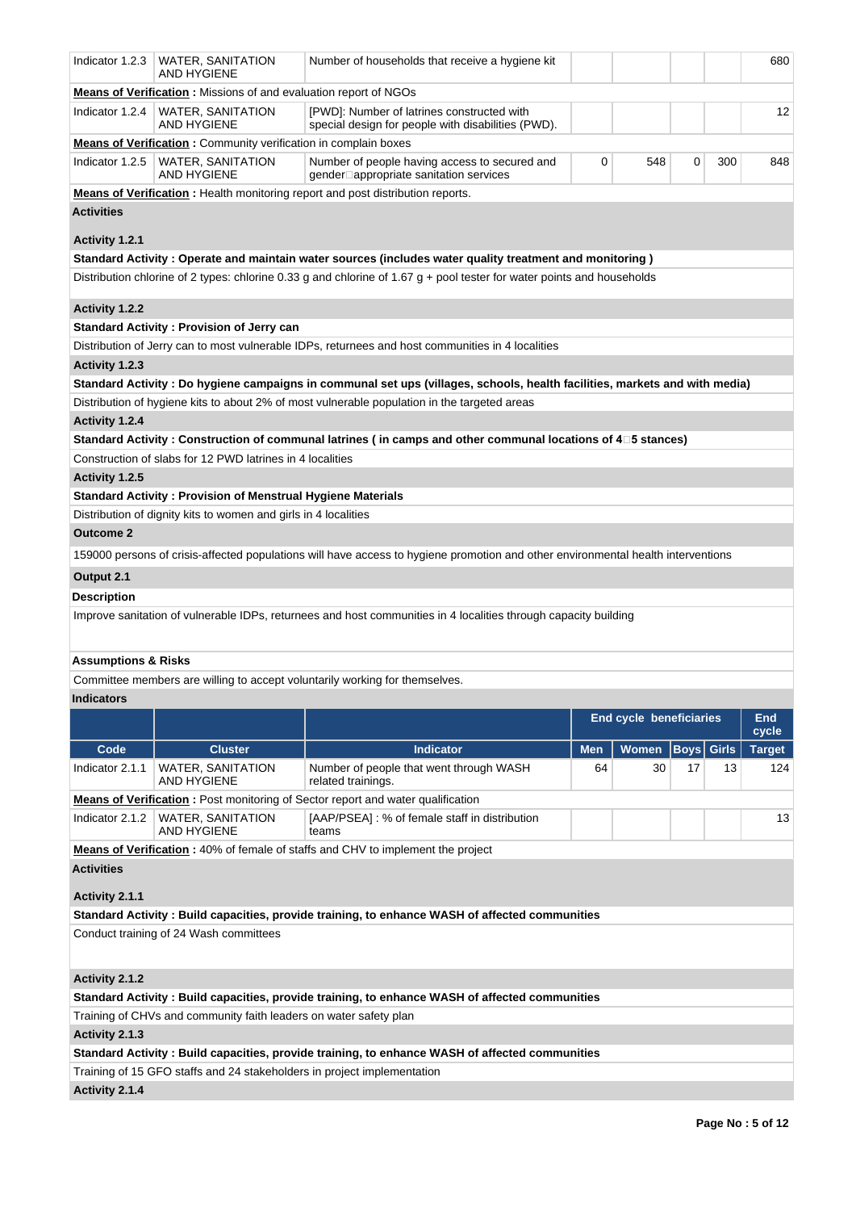| Indicator 1.2.3                | WATER, SANITATION<br>AND HYGIENE                                        | Number of households that receive a hygiene kit                                                                                  |     |                         |      |              | 680           |
|--------------------------------|-------------------------------------------------------------------------|----------------------------------------------------------------------------------------------------------------------------------|-----|-------------------------|------|--------------|---------------|
|                                | <b>Means of Verification:</b> Missions of and evaluation report of NGOs |                                                                                                                                  |     |                         |      |              |               |
| Indicator 1.2.4                | WATER, SANITATION<br>AND HYGIENE                                        | [PWD]: Number of latrines constructed with<br>special design for people with disabilities (PWD).                                 |     |                         |      |              | 12            |
|                                | <b>Means of Verification:</b> Community verification in complain boxes  |                                                                                                                                  |     |                         |      |              |               |
| Indicator 1.2.5                | WATER, SANITATION<br>AND HYGIENE                                        | Number of people having access to secured and<br>gender□appropriate sanitation services                                          | 0   | 548                     | 0    | 300          | 848           |
|                                |                                                                         | Means of Verification: Health monitoring report and post distribution reports.                                                   |     |                         |      |              |               |
| <b>Activities</b>              |                                                                         |                                                                                                                                  |     |                         |      |              |               |
|                                |                                                                         |                                                                                                                                  |     |                         |      |              |               |
| Activity 1.2.1                 |                                                                         |                                                                                                                                  |     |                         |      |              |               |
|                                |                                                                         | ( Standard Activity : Operate and maintain water sources (includes water quality treatment and monitoring                        |     |                         |      |              |               |
|                                |                                                                         | Distribution chlorine of 2 types: chlorine 0.33 g and chlorine of 1.67 g + pool tester for water points and households           |     |                         |      |              |               |
| <b>Activity 1.2.2</b>          |                                                                         |                                                                                                                                  |     |                         |      |              |               |
|                                | <b>Standard Activity: Provision of Jerry can</b>                        |                                                                                                                                  |     |                         |      |              |               |
|                                |                                                                         | Distribution of Jerry can to most vulnerable IDPs, returnees and host communities in 4 localities                                |     |                         |      |              |               |
| Activity 1.2.3                 |                                                                         |                                                                                                                                  |     |                         |      |              |               |
|                                |                                                                         | Standard Activity: Do hygiene campaigns in communal set ups (villages, schools, health facilities, markets and with media)       |     |                         |      |              |               |
|                                |                                                                         | Distribution of hygiene kits to about 2% of most vulnerable population in the targeted areas                                     |     |                         |      |              |               |
| Activity 1.2.4                 |                                                                         |                                                                                                                                  |     |                         |      |              |               |
|                                |                                                                         | Standard Activity : Construction of communal latrines (in camps and other communal locations of 4□5 stances)                     |     |                         |      |              |               |
|                                | Construction of slabs for 12 PWD latrines in 4 localities               |                                                                                                                                  |     |                         |      |              |               |
| Activity 1.2.5                 |                                                                         |                                                                                                                                  |     |                         |      |              |               |
|                                | <b>Standard Activity: Provision of Menstrual Hygiene Materials</b>      |                                                                                                                                  |     |                         |      |              |               |
|                                | Distribution of dignity kits to women and girls in 4 localities         |                                                                                                                                  |     |                         |      |              |               |
| <b>Outcome 2</b>               |                                                                         |                                                                                                                                  |     |                         |      |              |               |
|                                |                                                                         | 159000 persons of crisis-affected populations will have access to hygiene promotion and other environmental health interventions |     |                         |      |              |               |
| Output 2.1                     |                                                                         |                                                                                                                                  |     |                         |      |              |               |
|                                |                                                                         |                                                                                                                                  |     |                         |      |              |               |
| Description                    |                                                                         |                                                                                                                                  |     |                         |      |              |               |
|                                |                                                                         | Improve sanitation of vulnerable IDPs, returnees and host communities in 4 localities through capacity building                  |     |                         |      |              |               |
|                                |                                                                         |                                                                                                                                  |     |                         |      |              |               |
| <b>Assumptions &amp; Risks</b> |                                                                         |                                                                                                                                  |     |                         |      |              |               |
|                                |                                                                         | Committee members are willing to accept voluntarily working for themselves.                                                      |     |                         |      |              |               |
| Indicators                     |                                                                         |                                                                                                                                  |     |                         |      |              |               |
|                                |                                                                         |                                                                                                                                  |     | End cycle beneficiaries |      |              | <b>End</b>    |
|                                |                                                                         |                                                                                                                                  |     |                         |      |              | cycle         |
| Code                           | <b>Cluster</b>                                                          | <b>Indicator</b>                                                                                                                 | Men | <b>Women</b>            | Boys | <b>Girls</b> | <b>Target</b> |
| Indicator 2.1.1                | <b>WATER, SANITATION</b><br>AND HYGIENE                                 | Number of people that went through WASH<br>related trainings.                                                                    | 64  | 30                      | 17   | 13           | 124           |
|                                |                                                                         | <b>Means of Verification:</b> Post monitoring of Sector report and water qualification                                           |     |                         |      |              |               |
| Indicator 2.1.2                | WATER, SANITATION<br>AND HYGIENE                                        | [AAP/PSEA] : % of female staff in distribution<br>teams                                                                          |     |                         |      |              | 13            |
|                                |                                                                         | Means of Verification: 40% of female of staffs and CHV to implement the project                                                  |     |                         |      |              |               |
| <b>Activities</b>              |                                                                         |                                                                                                                                  |     |                         |      |              |               |
|                                |                                                                         |                                                                                                                                  |     |                         |      |              |               |
| Activity 2.1.1                 |                                                                         |                                                                                                                                  |     |                         |      |              |               |
|                                |                                                                         | Standard Activity: Build capacities, provide training, to enhance WASH of affected communities                                   |     |                         |      |              |               |
|                                | Conduct training of 24 Wash committees                                  |                                                                                                                                  |     |                         |      |              |               |
| Activity 2.1.2                 |                                                                         |                                                                                                                                  |     |                         |      |              |               |
|                                |                                                                         | Standard Activity : Build capacities, provide training, to enhance WASH of affected communities                                  |     |                         |      |              |               |
|                                | Training of CHVs and community faith leaders on water safety plan       |                                                                                                                                  |     |                         |      |              |               |
| Activity 2.1.3                 |                                                                         |                                                                                                                                  |     |                         |      |              |               |
|                                |                                                                         | Standard Activity: Build capacities, provide training, to enhance WASH of affected communities                                   |     |                         |      |              |               |
|                                |                                                                         | Training of 15 GFO staffs and 24 stakeholders in project implementation                                                          |     |                         |      |              |               |
| Activity 2.1.4                 |                                                                         |                                                                                                                                  |     |                         |      |              |               |
|                                |                                                                         |                                                                                                                                  |     |                         |      |              |               |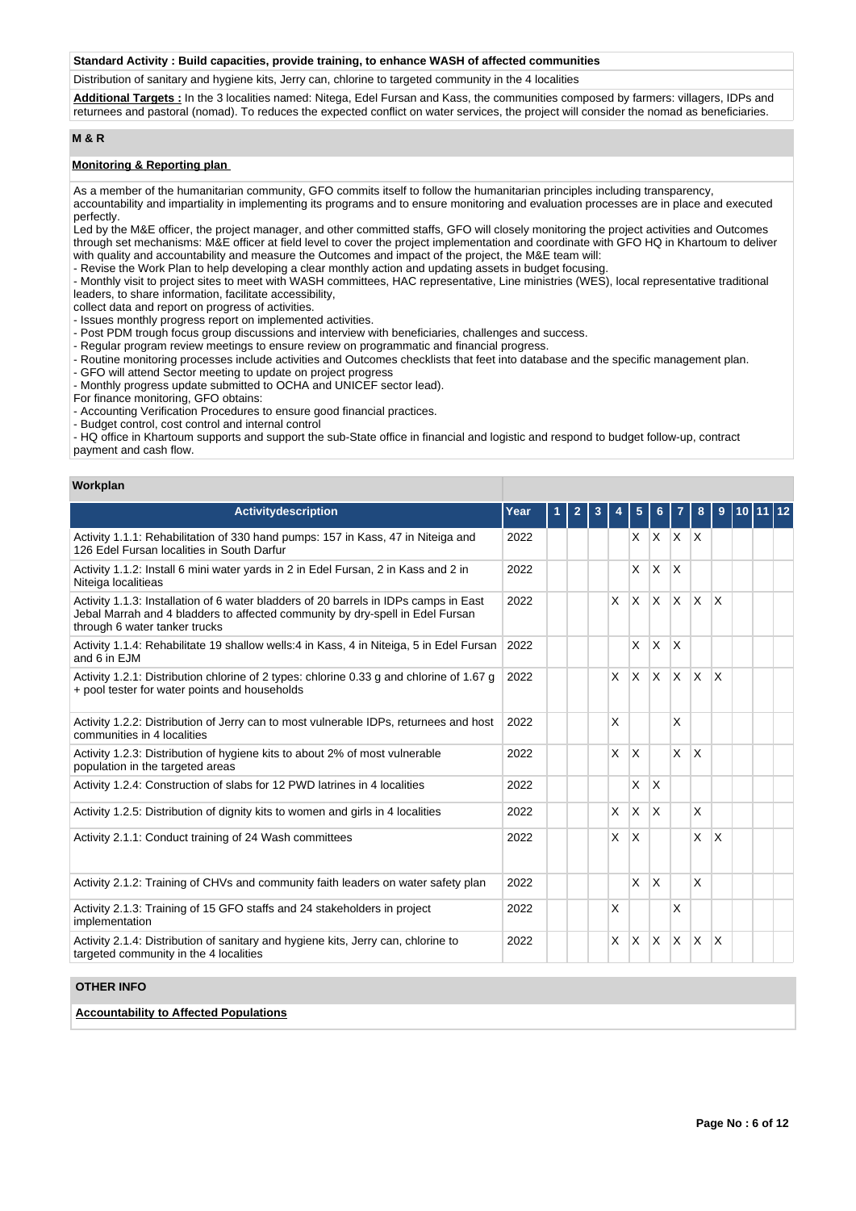## **Standard Activity : Build capacities, provide training, to enhance WASH of affected communities**

Distribution of sanitary and hygiene kits, Jerry can, chlorine to targeted community in the 4 localities

**Additional Targets :** In the 3 localities named: Nitega, Edel Fursan and Kass, the communities composed by farmers: villagers, IDPs and returnees and pastoral (nomad). To reduces the expected conflict on water services, the project will consider the nomad as beneficiaries.

## **M & R**

## **Monitoring & Reporting plan**

As a member of the humanitarian community, GFO commits itself to follow the humanitarian principles including transparency,

accountability and impartiality in implementing its programs and to ensure monitoring and evaluation processes are in place and executed perfectly.

Led by the M&E officer, the project manager, and other committed staffs, GFO will closely monitoring the project activities and Outcomes through set mechanisms: M&E officer at field level to cover the project implementation and coordinate with GFO HQ in Khartoum to deliver with quality and accountability and measure the Outcomes and impact of the project, the M&E team will:

- Revise the Work Plan to help developing a clear monthly action and updating assets in budget focusing.

- Monthly visit to project sites to meet with WASH committees, HAC representative, Line ministries (WES), local representative traditional leaders, to share information, facilitate accessibility,

collect data and report on progress of activities.

- Issues monthly progress report on implemented activities.
- Post PDM trough focus group discussions and interview with beneficiaries, challenges and success.
- Regular program review meetings to ensure review on programmatic and financial progress.
- Routine monitoring processes include activities and Outcomes checklists that feet into database and the specific management plan.
- GFO will attend Sector meeting to update on project progress
- Monthly progress update submitted to OCHA and UNICEF sector lead).
- For finance monitoring, GFO obtains:
- Accounting Verification Procedures to ensure good financial practices.
- Budget control, cost control and internal control

- HQ office in Khartoum supports and support the sub-State office in financial and logistic and respond to budget follow-up, contract payment and cash flow.

#### **Workplan**

| <b>Activitydescription</b>                                                                                                                                                                             | Year | $\overline{2}$ | 3 |    | 5        | 6            |                         | 8            | 9                       | 10 <sup>1</sup> |  |
|--------------------------------------------------------------------------------------------------------------------------------------------------------------------------------------------------------|------|----------------|---|----|----------|--------------|-------------------------|--------------|-------------------------|-----------------|--|
| Activity 1.1.1: Rehabilitation of 330 hand pumps: 157 in Kass, 47 in Niteiga and<br>126 Edel Fursan localities in South Darfur                                                                         | 2022 |                |   |    | X        | IX.          | $X$ $X$                 |              |                         |                 |  |
| Activity 1.1.2: Install 6 mini water yards in 2 in Edel Fursan, 2 in Kass and 2 in<br>Niteiga localitieas                                                                                              | 2022 |                |   |    | X        | X            | ΙX.                     |              |                         |                 |  |
| Activity 1.1.3: Installation of 6 water bladders of 20 barrels in IDPs camps in East<br>Jebal Marrah and 4 bladders to affected community by dry-spell in Edel Fursan<br>through 6 water tanker trucks | 2022 |                |   | X  | $\times$ | ΙX.          | ΙX.                     | $\mathsf{X}$ | $\mathsf{x}$            |                 |  |
| Activity 1.1.4: Rehabilitate 19 shallow wells:4 in Kass, 4 in Niteiga, 5 in Edel Fursan<br>and 6 in EJM                                                                                                | 2022 |                |   |    | X        | X            | $\overline{\mathsf{x}}$ |              |                         |                 |  |
| Activity 1.2.1: Distribution chlorine of 2 types: chlorine 0.33 g and chlorine of 1.67 g<br>+ pool tester for water points and households                                                              | 2022 |                |   | X. | $\times$ | Ιx.          | $x \times$              |              | X                       |                 |  |
| Activity 1.2.2: Distribution of Jerry can to most vulnerable IDPs, returnees and host<br>communities in 4 localities                                                                                   | 2022 |                |   | X  |          |              | $\overline{\mathsf{x}}$ |              |                         |                 |  |
| Activity 1.2.3: Distribution of hygiene kits to about 2% of most vulnerable<br>population in the targeted areas                                                                                        | 2022 |                |   | X  | $\times$ |              | $\mathsf{x}$            | X            |                         |                 |  |
| Activity 1.2.4: Construction of slabs for 12 PWD latrines in 4 localities                                                                                                                              | 2022 |                |   |    | X        | X            |                         |              |                         |                 |  |
| Activity 1.2.5: Distribution of dignity kits to women and girls in 4 localities                                                                                                                        | 2022 |                |   | X  | $\times$ | X            |                         | X            |                         |                 |  |
| Activity 2.1.1: Conduct training of 24 Wash committees                                                                                                                                                 |      |                |   | X  | $\times$ |              |                         | X            | X                       |                 |  |
| Activity 2.1.2: Training of CHVs and community faith leaders on water safety plan                                                                                                                      | 2022 |                |   |    | X        | X            |                         | X            |                         |                 |  |
| Activity 2.1.3: Training of 15 GFO staffs and 24 stakeholders in project<br>implementation                                                                                                             | 2022 |                |   | X  |          |              | X                       |              |                         |                 |  |
| Activity 2.1.4: Distribution of sanitary and hygiene kits, Jerry can, chlorine to<br>targeted community in the 4 localities                                                                            | 2022 |                |   | X  | $\times$ | <sup>X</sup> | ΙX.                     | ΙX.          | $\overline{\mathsf{x}}$ |                 |  |

## **OTHER INFO**

## **Accountability to Affected Populations**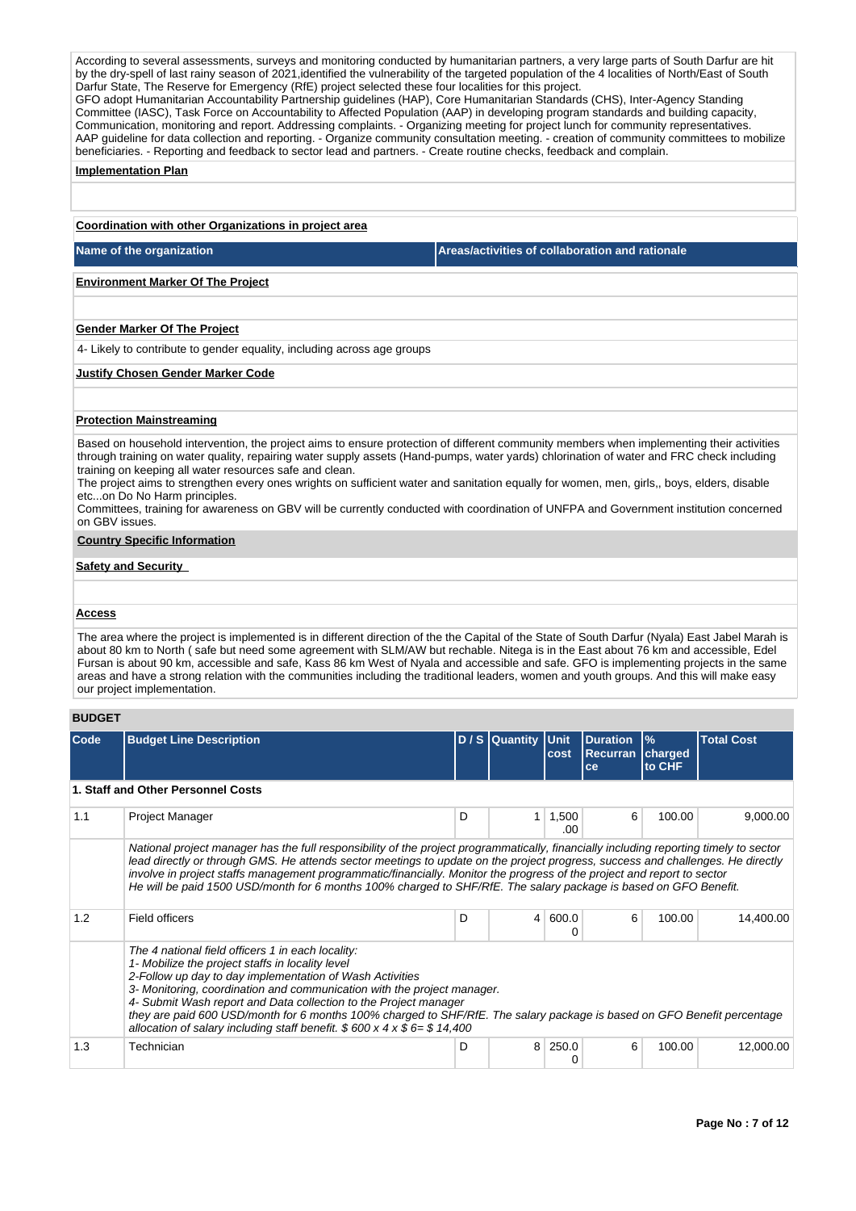According to several assessments, surveys and monitoring conducted by humanitarian partners, a very large parts of South Darfur are hit by the dry-spell of last rainy season of 2021,identified the vulnerability of the targeted population of the 4 localities of North/East of South Darfur State, The Reserve for Emergency (RfE) project selected these four localities for this project. GFO adopt Humanitarian Accountability Partnership guidelines (HAP), Core Humanitarian Standards (CHS), Inter-Agency Standing Committee (IASC), Task Force on Accountability to Affected Population (AAP) in developing program standards and building capacity, Communication, monitoring and report. Addressing complaints. - Organizing meeting for project lunch for community representatives. AAP guideline for data collection and reporting. - Organize community consultation meeting. - creation of community committees to mobilize beneficiaries. - Reporting and feedback to sector lead and partners. - Create routine checks, feedback and complain.

#### **Implementation Plan**

#### **Coordination with other Organizations in project area**

**Name of the organization** 

## **Environment Marker Of The Project**

#### **Gender Marker Of The Project**

4- Likely to contribute to gender equality, including across age groups

#### **Justify Chosen Gender Marker Code**

#### **Protection Mainstreaming**

Based on household intervention, the project aims to ensure protection of different community members when implementing their activities through training on water quality, repairing water supply assets (Hand-pumps, water yards) chlorination of water and FRC check including training on keeping all water resources safe and clean.

The project aims to strengthen every ones wrights on sufficient water and sanitation equally for women, men, girls,, boys, elders, disable etc...on Do No Harm principles.

Committees, training for awareness on GBV will be currently conducted with coordination of UNFPA and Government institution concerned on GBV issues.

## **Country Specific Information**

## **Safety and Security**

#### **Access**

The area where the project is implemented is in different direction of the the Capital of the State of South Darfur (Nyala) East Jabel Marah is about 80 km to North ( safe but need some agreement with SLM/AW but rechable. Nitega is in the East about 76 km and accessible, Edel Fursan is about 90 km, accessible and safe, Kass 86 km West of Nyala and accessible and safe. GFO is implementing projects in the same areas and have a strong relation with the communities including the traditional leaders, women and youth groups. And this will make easy our project implementation.

## **BUDGET**

| Code | <b>Budget Line Description</b>                                                                                                                                                                                                                                                                                                                                                                                                                                                                                                   |   | D / S Quantity Unit | cost         | <b>Duration</b><br><b>Recurran</b><br>ce | $\frac{9}{6}$<br>charged<br>to CHF | <b>Total Cost</b> |  |  |  |
|------|----------------------------------------------------------------------------------------------------------------------------------------------------------------------------------------------------------------------------------------------------------------------------------------------------------------------------------------------------------------------------------------------------------------------------------------------------------------------------------------------------------------------------------|---|---------------------|--------------|------------------------------------------|------------------------------------|-------------------|--|--|--|
|      | 1. Staff and Other Personnel Costs                                                                                                                                                                                                                                                                                                                                                                                                                                                                                               |   |                     |              |                                          |                                    |                   |  |  |  |
| 1.1  | Project Manager                                                                                                                                                                                                                                                                                                                                                                                                                                                                                                                  | D | 1.                  | 1,500<br>.00 | 6                                        | 100.00                             | 9,000.00          |  |  |  |
|      | National project manager has the full responsibility of the project programmatically, financially including reporting timely to sector<br>lead directly or through GMS. He attends sector meetings to update on the project progress, success and challenges. He directly<br>involve in project staffs management programmatic/financially. Monitor the progress of the project and report to sector<br>He will be paid 1500 USD/month for 6 months 100% charged to SHF/RfE. The salary package is based on GFO Benefit.         |   |                     |              |                                          |                                    |                   |  |  |  |
| 1.2  | Field officers                                                                                                                                                                                                                                                                                                                                                                                                                                                                                                                   | D | 4                   | 600.0<br>0   | 6                                        | 100.00                             | 14,400.00         |  |  |  |
|      | The 4 national field officers 1 in each locality:<br>1- Mobilize the project staffs in locality level<br>2-Follow up day to day implementation of Wash Activities<br>3- Monitoring, coordination and communication with the project manager.<br>4- Submit Wash report and Data collection to the Project manager<br>they are paid 600 USD/month for 6 months 100% charged to SHF/RfE. The salary package is based on GFO Benefit percentage<br>allocation of salary including staff benefit. $$600 \times 4 \times $6 = $14,400$ |   |                     |              |                                          |                                    |                   |  |  |  |
| 1.3  | Technician                                                                                                                                                                                                                                                                                                                                                                                                                                                                                                                       | D | 8                   | 250.0        | 6                                        | 100.00                             | 12,000.00         |  |  |  |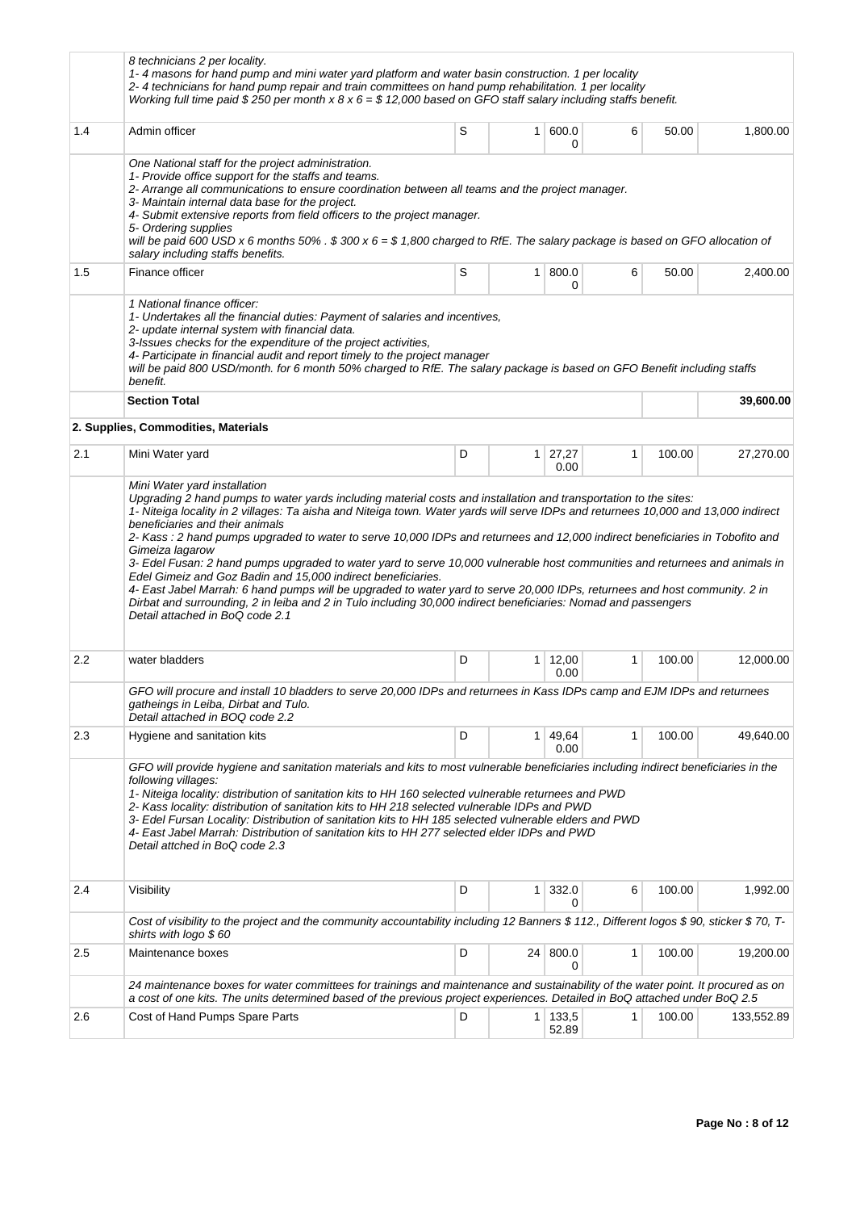|     | 8 technicians 2 per locality.<br>1-4 masons for hand pump and mini water yard platform and water basin construction. 1 per locality<br>2-4 technicians for hand pump repair and train committees on hand pump rehabilitation. 1 per locality<br>Working full time paid \$250 per month x 8 x 6 = \$12,000 based on GFO staff salary including staffs benefit.                                                                                                                                                                                                                                                                                                         |   |              |                        |              |        |            |
|-----|-----------------------------------------------------------------------------------------------------------------------------------------------------------------------------------------------------------------------------------------------------------------------------------------------------------------------------------------------------------------------------------------------------------------------------------------------------------------------------------------------------------------------------------------------------------------------------------------------------------------------------------------------------------------------|---|--------------|------------------------|--------------|--------|------------|
| 1.4 | Admin officer                                                                                                                                                                                                                                                                                                                                                                                                                                                                                                                                                                                                                                                         | S | 1            | 600.0<br>0             | 6            | 50.00  | 1,800.00   |
|     | One National staff for the project administration.<br>1- Provide office support for the staffs and teams.<br>2- Arrange all communications to ensure coordination between all teams and the project manager.<br>3- Maintain internal data base for the project.<br>4- Submit extensive reports from field officers to the project manager.<br>5- Ordering supplies<br>will be paid 600 USD x 6 months 50% . $$300 \times 6 = $1,800$ charged to RfE. The salary package is based on GFO allocation of<br>salary including staffs benefits.                                                                                                                            |   |              |                        |              |        |            |
| 1.5 | Finance officer                                                                                                                                                                                                                                                                                                                                                                                                                                                                                                                                                                                                                                                       | S | $\mathbf{1}$ | 800.0<br>0             | 6            | 50.00  | 2,400.00   |
|     | 1 National finance officer:<br>1- Undertakes all the financial duties: Payment of salaries and incentives,<br>2- update internal system with financial data.<br>3-Issues checks for the expenditure of the project activities,<br>4- Participate in financial audit and report timely to the project manager<br>will be paid 800 USD/month. for 6 month 50% charged to RfE. The salary package is based on GFO Benefit including staffs<br>benefit.<br><b>Section Total</b>                                                                                                                                                                                           |   |              |                        |              |        | 39,600.00  |
|     | 2. Supplies, Commodities, Materials                                                                                                                                                                                                                                                                                                                                                                                                                                                                                                                                                                                                                                   |   |              |                        |              |        |            |
| 2.1 | Mini Water yard                                                                                                                                                                                                                                                                                                                                                                                                                                                                                                                                                                                                                                                       | D |              | $1 \mid 27,27$<br>0.00 | 1            | 100.00 | 27,270.00  |
|     | beneficiaries and their animals<br>2- Kass : 2 hand pumps upgraded to water to serve 10,000 IDPs and returnees and 12,000 indirect beneficiaries in Tobofito and<br>Gimeiza lagarow<br>3- Edel Fusan: 2 hand pumps upgraded to water yard to serve 10,000 vulnerable host communities and returnees and animals in<br>Edel Gimeiz and Goz Badin and 15,000 indirect beneficiaries.<br>4- East Jabel Marrah: 6 hand pumps will be upgraded to water yard to serve 20,000 IDPs, returnees and host community. 2 in<br>Dirbat and surrounding, 2 in leiba and 2 in Tulo including 30,000 indirect beneficiaries: Nomad and passengers<br>Detail attached in BoQ code 2.1 |   |              |                        |              |        |            |
| 2.2 | water bladders                                                                                                                                                                                                                                                                                                                                                                                                                                                                                                                                                                                                                                                        | D | $\mathbf{1}$ | 12,00<br>0.00          | $\mathbf{1}$ | 100.00 | 12,000.00  |
|     | GFO will procure and install 10 bladders to serve 20,000 IDPs and returnees in Kass IDPs camp and EJM IDPs and returnees<br>gatheings in Leiba, Dirbat and Tulo.<br>Detail attached in BOQ code 2.2                                                                                                                                                                                                                                                                                                                                                                                                                                                                   |   |              |                        |              |        |            |
| 2.3 | Hygiene and sanitation kits                                                                                                                                                                                                                                                                                                                                                                                                                                                                                                                                                                                                                                           | D | 1.           | 49,64<br>0.00          | $\mathbf{1}$ | 100.00 | 49,640.00  |
|     | GFO will provide hygiene and sanitation materials and kits to most vulnerable beneficiaries including indirect beneficiaries in the<br>following villages:<br>1- Niteiga locality: distribution of sanitation kits to HH 160 selected vulnerable returnees and PWD<br>2- Kass locality: distribution of sanitation kits to HH 218 selected vulnerable IDPs and PWD<br>3- Edel Fursan Locality: Distribution of sanitation kits to HH 185 selected vulnerable elders and PWD<br>4- East Jabel Marrah: Distribution of sanitation kits to HH 277 selected elder IDPs and PWD<br>Detail attched in BoQ code 2.3                                                          |   |              |                        |              |        |            |
| 2.4 | Visibility                                                                                                                                                                                                                                                                                                                                                                                                                                                                                                                                                                                                                                                            | D | 1            | 332.0<br>0             | 6            | 100.00 | 1,992.00   |
|     | Cost of visibility to the project and the community accountability including 12 Banners \$ 112., Different logos \$ 90, sticker \$ 70, T-<br>shirts with logo $$60$                                                                                                                                                                                                                                                                                                                                                                                                                                                                                                   |   |              |                        |              |        |            |
| 2.5 | Maintenance boxes                                                                                                                                                                                                                                                                                                                                                                                                                                                                                                                                                                                                                                                     | D | 24           | 800.0<br>0             | $\mathbf{1}$ | 100.00 | 19,200.00  |
|     | 24 maintenance boxes for water committees for trainings and maintenance and sustainability of the water point. It procured as on<br>a cost of one kits. The units determined based of the previous project experiences. Detailed in BoQ attached under BoQ 2.5                                                                                                                                                                                                                                                                                                                                                                                                        |   |              |                        |              |        |            |
| 2.6 | Cost of Hand Pumps Spare Parts                                                                                                                                                                                                                                                                                                                                                                                                                                                                                                                                                                                                                                        | D |              | 1 133,5<br>52.89       | 1            | 100.00 | 133,552.89 |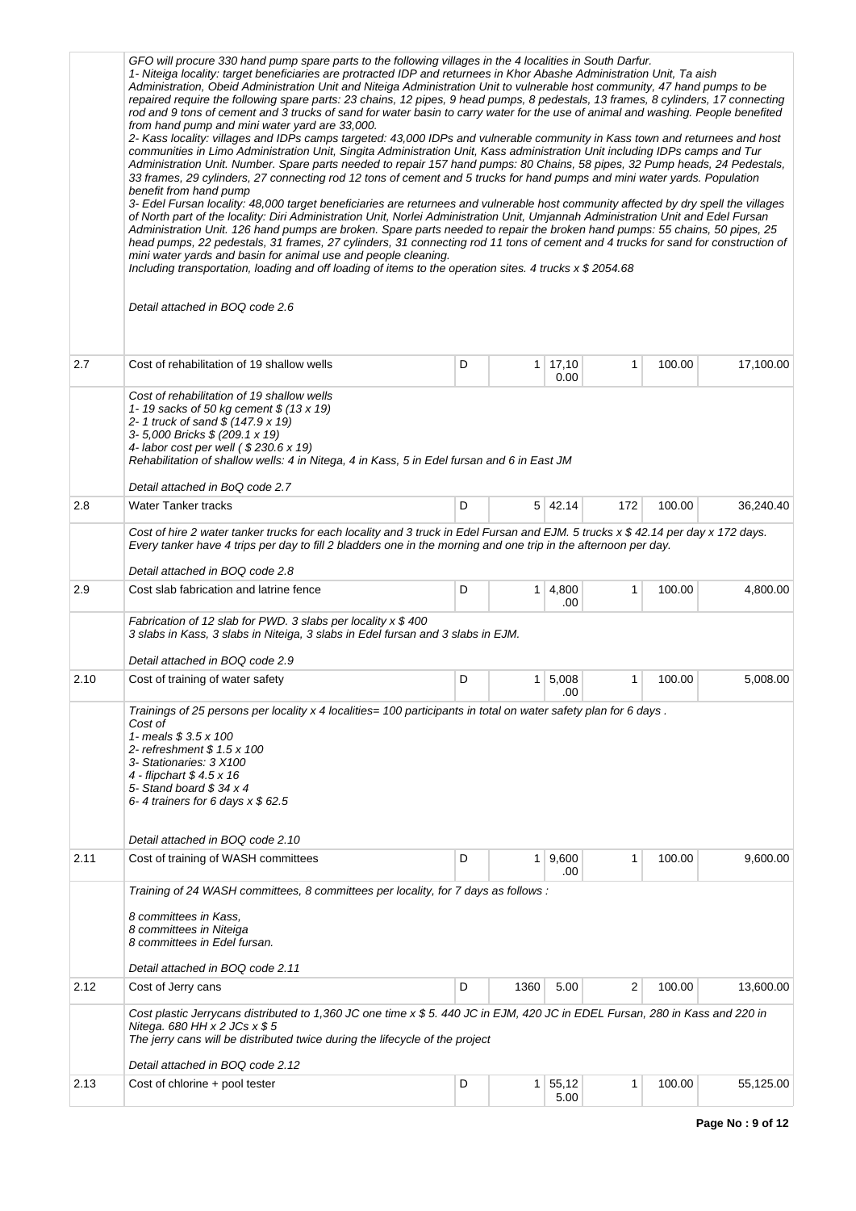|      | GFO will procure 330 hand pump spare parts to the following villages in the 4 localities in South Darfur.<br>1- Niteiga locality: target beneficiaries are protracted IDP and returnees in Khor Abashe Administration Unit, Ta aish<br>Administration, Obeid Administration Unit and Niteiga Administration Unit to vulnerable host community, 47 hand pumps to be<br>repaired require the following spare parts: 23 chains, 12 pipes, 9 head pumps, 8 pedestals, 13 frames, 8 cylinders, 17 connecting<br>rod and 9 tons of cement and 3 trucks of sand for water basin to carry water for the use of animal and washing. People benefited<br>from hand pump and mini water yard are 33,000.<br>2- Kass locality: villages and IDPs camps targeted: 43,000 IDPs and vulnerable community in Kass town and returnees and host<br>communities in Limo Administration Unit, Singita Administration Unit, Kass administration Unit including IDPs camps and Tur<br>Administration Unit. Number. Spare parts needed to repair 157 hand pumps: 80 Chains, 58 pipes, 32 Pump heads, 24 Pedestals,<br>33 frames, 29 cylinders, 27 connecting rod 12 tons of cement and 5 trucks for hand pumps and mini water yards. Population<br>benefit from hand pump<br>3- Edel Fursan locality: 48,000 target beneficiaries are returnees and vulnerable host community affected by dry spell the villages<br>of North part of the locality: Diri Administration Unit, Norlei Administration Unit, Umjannah Administration Unit and Edel Fursan<br>Administration Unit. 126 hand pumps are broken. Spare parts needed to repair the broken hand pumps: 55 chains, 50 pipes, 25<br>head pumps, 22 pedestals, 31 frames, 27 cylinders, 31 connecting rod 11 tons of cement and 4 trucks for sand for construction of<br>mini water yards and basin for animal use and people cleaning.<br>Including transportation, loading and off loading of items to the operation sites. 4 trucks $x$ \$ 2054.68<br>Detail attached in BOQ code 2.6 |   |              |               |     |        |           |  |  |  |  |
|------|----------------------------------------------------------------------------------------------------------------------------------------------------------------------------------------------------------------------------------------------------------------------------------------------------------------------------------------------------------------------------------------------------------------------------------------------------------------------------------------------------------------------------------------------------------------------------------------------------------------------------------------------------------------------------------------------------------------------------------------------------------------------------------------------------------------------------------------------------------------------------------------------------------------------------------------------------------------------------------------------------------------------------------------------------------------------------------------------------------------------------------------------------------------------------------------------------------------------------------------------------------------------------------------------------------------------------------------------------------------------------------------------------------------------------------------------------------------------------------------------------------------------------------------------------------------------------------------------------------------------------------------------------------------------------------------------------------------------------------------------------------------------------------------------------------------------------------------------------------------------------------------------------------------------------------------------------------------------------------------------------------------------|---|--------------|---------------|-----|--------|-----------|--|--|--|--|
| 2.7  | Cost of rehabilitation of 19 shallow wells                                                                                                                                                                                                                                                                                                                                                                                                                                                                                                                                                                                                                                                                                                                                                                                                                                                                                                                                                                                                                                                                                                                                                                                                                                                                                                                                                                                                                                                                                                                                                                                                                                                                                                                                                                                                                                                                                                                                                                           | D | $\mathbf{1}$ | 17,10<br>0.00 | 1   | 100.00 | 17,100.00 |  |  |  |  |
|      | Cost of rehabilitation of 19 shallow wells<br>1-19 sacks of 50 kg cement \$ (13 x 19)<br>2-1 truck of sand \$ (147.9 x 19)<br>3-5,000 Bricks \$ (209.1 x 19)<br>4- labor cost per well (\$230.6 x 19)<br>Rehabilitation of shallow wells: 4 in Nitega, 4 in Kass, 5 in Edel fursan and 6 in East JM<br>Detail attached in BoQ code 2.7                                                                                                                                                                                                                                                                                                                                                                                                                                                                                                                                                                                                                                                                                                                                                                                                                                                                                                                                                                                                                                                                                                                                                                                                                                                                                                                                                                                                                                                                                                                                                                                                                                                                               |   |              |               |     |        |           |  |  |  |  |
| 2.8  | <b>Water Tanker tracks</b>                                                                                                                                                                                                                                                                                                                                                                                                                                                                                                                                                                                                                                                                                                                                                                                                                                                                                                                                                                                                                                                                                                                                                                                                                                                                                                                                                                                                                                                                                                                                                                                                                                                                                                                                                                                                                                                                                                                                                                                           | D |              | 5 42.14       | 172 | 100.00 | 36,240.40 |  |  |  |  |
|      | Cost of hire 2 water tanker trucks for each locality and 3 truck in Edel Fursan and EJM. 5 trucks x \$ 42.14 per day x 172 days.<br>Every tanker have 4 trips per day to fill 2 bladders one in the morning and one trip in the afternoon per day.                                                                                                                                                                                                                                                                                                                                                                                                                                                                                                                                                                                                                                                                                                                                                                                                                                                                                                                                                                                                                                                                                                                                                                                                                                                                                                                                                                                                                                                                                                                                                                                                                                                                                                                                                                   |   |              |               |     |        |           |  |  |  |  |
|      | Detail attached in BOQ code 2.8                                                                                                                                                                                                                                                                                                                                                                                                                                                                                                                                                                                                                                                                                                                                                                                                                                                                                                                                                                                                                                                                                                                                                                                                                                                                                                                                                                                                                                                                                                                                                                                                                                                                                                                                                                                                                                                                                                                                                                                      |   |              |               |     |        |           |  |  |  |  |
| 2.9  | Cost slab fabrication and latrine fence                                                                                                                                                                                                                                                                                                                                                                                                                                                                                                                                                                                                                                                                                                                                                                                                                                                                                                                                                                                                                                                                                                                                                                                                                                                                                                                                                                                                                                                                                                                                                                                                                                                                                                                                                                                                                                                                                                                                                                              | D | 1            | 4,800<br>.00  | 1   | 100.00 | 4,800.00  |  |  |  |  |
|      | Fabrication of 12 slab for PWD. 3 slabs per locality $x $ 400$<br>3 slabs in Kass, 3 slabs in Niteiga, 3 slabs in Edel fursan and 3 slabs in EJM.<br>Detail attached in BOQ code 2.9                                                                                                                                                                                                                                                                                                                                                                                                                                                                                                                                                                                                                                                                                                                                                                                                                                                                                                                                                                                                                                                                                                                                                                                                                                                                                                                                                                                                                                                                                                                                                                                                                                                                                                                                                                                                                                 |   |              |               |     |        |           |  |  |  |  |
| 2.10 | Cost of training of water safety                                                                                                                                                                                                                                                                                                                                                                                                                                                                                                                                                                                                                                                                                                                                                                                                                                                                                                                                                                                                                                                                                                                                                                                                                                                                                                                                                                                                                                                                                                                                                                                                                                                                                                                                                                                                                                                                                                                                                                                     | D | 1            | 5,008<br>.00  | 1   | 100.00 | 5,008.00  |  |  |  |  |
|      | Trainings of 25 persons per locality x 4 localities= 100 participants in total on water safety plan for 6 days.<br>Cost of<br>1- meals \$ 3.5 x 100<br>2- refreshment \$ 1.5 x 100<br>3- Stationaries: 3 X100<br>4 - flipchart \$4.5 x 16<br>5- Stand board $$34 \times 4$<br>6-4 trainers for 6 days $x $$ 62.5<br>Detail attached in BOQ code 2.10                                                                                                                                                                                                                                                                                                                                                                                                                                                                                                                                                                                                                                                                                                                                                                                                                                                                                                                                                                                                                                                                                                                                                                                                                                                                                                                                                                                                                                                                                                                                                                                                                                                                 |   |              |               |     |        |           |  |  |  |  |
| 2.11 | Cost of training of WASH committees                                                                                                                                                                                                                                                                                                                                                                                                                                                                                                                                                                                                                                                                                                                                                                                                                                                                                                                                                                                                                                                                                                                                                                                                                                                                                                                                                                                                                                                                                                                                                                                                                                                                                                                                                                                                                                                                                                                                                                                  | D | 1            | 9,600<br>.00  | 1   | 100.00 | 9,600.00  |  |  |  |  |
|      | Training of 24 WASH committees, 8 committees per locality, for 7 days as follows :<br>8 committees in Kass,<br>8 committees in Niteiga<br>8 committees in Edel fursan.<br>Detail attached in BOQ code 2.11                                                                                                                                                                                                                                                                                                                                                                                                                                                                                                                                                                                                                                                                                                                                                                                                                                                                                                                                                                                                                                                                                                                                                                                                                                                                                                                                                                                                                                                                                                                                                                                                                                                                                                                                                                                                           |   |              |               |     |        |           |  |  |  |  |
| 2.12 | Cost of Jerry cans                                                                                                                                                                                                                                                                                                                                                                                                                                                                                                                                                                                                                                                                                                                                                                                                                                                                                                                                                                                                                                                                                                                                                                                                                                                                                                                                                                                                                                                                                                                                                                                                                                                                                                                                                                                                                                                                                                                                                                                                   | D | 1360         | 5.00          | 2   | 100.00 | 13,600.00 |  |  |  |  |
|      | Cost plastic Jerrycans distributed to 1,360 JC one time x \$ 5. 440 JC in EJM, 420 JC in EDEL Fursan, 280 in Kass and 220 in<br>Nitega. 680 HH x 2 JCs $x $ 5$<br>The jerry cans will be distributed twice during the lifecycle of the project<br>Detail attached in BOQ code 2.12                                                                                                                                                                                                                                                                                                                                                                                                                                                                                                                                                                                                                                                                                                                                                                                                                                                                                                                                                                                                                                                                                                                                                                                                                                                                                                                                                                                                                                                                                                                                                                                                                                                                                                                                   |   |              |               |     |        |           |  |  |  |  |
| 2.13 | Cost of chlorine + pool tester                                                                                                                                                                                                                                                                                                                                                                                                                                                                                                                                                                                                                                                                                                                                                                                                                                                                                                                                                                                                                                                                                                                                                                                                                                                                                                                                                                                                                                                                                                                                                                                                                                                                                                                                                                                                                                                                                                                                                                                       | D | $\mathbf{1}$ | 55,12<br>5.00 | 1   | 100.00 | 55,125.00 |  |  |  |  |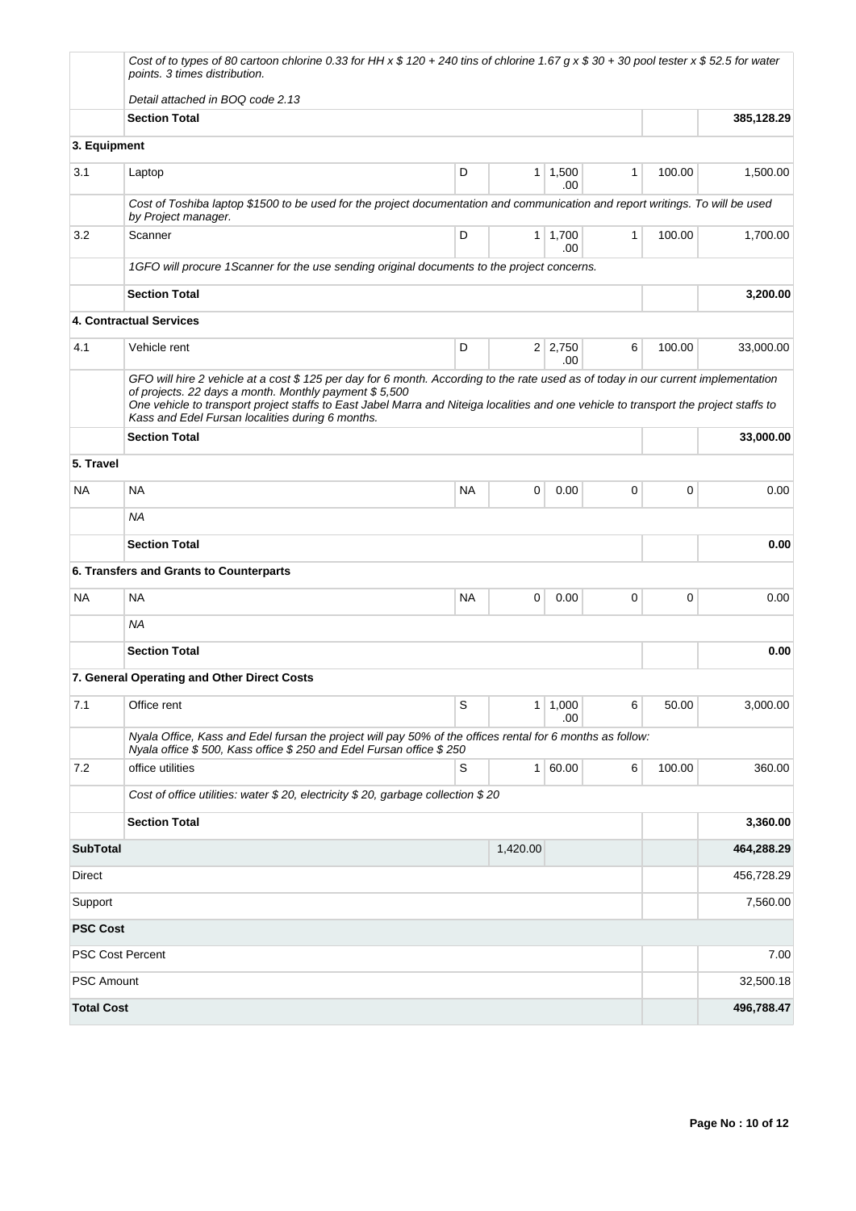|                   | Cost of to types of 80 cartoon chlorine 0.33 for HH x \$ 120 + 240 tins of chlorine 1.67 g x \$ 30 + 30 pool tester x \$ 52.5 for water<br>points. 3 times distribution.                                                                                                                                                                                                                |           |                |                       |              |        |            |
|-------------------|-----------------------------------------------------------------------------------------------------------------------------------------------------------------------------------------------------------------------------------------------------------------------------------------------------------------------------------------------------------------------------------------|-----------|----------------|-----------------------|--------------|--------|------------|
|                   | Detail attached in BOQ code 2.13                                                                                                                                                                                                                                                                                                                                                        |           |                |                       |              |        |            |
|                   | <b>Section Total</b>                                                                                                                                                                                                                                                                                                                                                                    |           |                |                       |              |        | 385,128.29 |
| 3. Equipment      |                                                                                                                                                                                                                                                                                                                                                                                         |           |                |                       |              |        |            |
| 3.1               | Laptop                                                                                                                                                                                                                                                                                                                                                                                  | D         | 1 <sup>1</sup> | 1,500<br>.00.         | $\mathbf{1}$ | 100.00 | 1,500.00   |
|                   | Cost of Toshiba laptop \$1500 to be used for the project documentation and communication and report writings. To will be used<br>by Project manager.                                                                                                                                                                                                                                    |           |                |                       |              |        |            |
| 3.2               | Scanner                                                                                                                                                                                                                                                                                                                                                                                 | D         |                | $1 \mid 1,700$<br>.00 | $\mathbf{1}$ | 100.00 | 1,700.00   |
|                   | 1GFO will procure 1Scanner for the use sending original documents to the project concerns.                                                                                                                                                                                                                                                                                              |           |                |                       |              |        |            |
|                   | <b>Section Total</b>                                                                                                                                                                                                                                                                                                                                                                    |           |                |                       |              |        | 3,200.00   |
|                   | 4. Contractual Services                                                                                                                                                                                                                                                                                                                                                                 |           |                |                       |              |        |            |
| 4.1               | Vehicle rent                                                                                                                                                                                                                                                                                                                                                                            | D         |                | $2 \mid 2,750$<br>.00 | 6            | 100.00 | 33,000.00  |
|                   | GFO will hire 2 vehicle at a cost \$125 per day for 6 month. According to the rate used as of today in our current implementation<br>of projects. 22 days a month. Monthly payment \$5,500<br>One vehicle to transport project staffs to East Jabel Marra and Niteiga localities and one vehicle to transport the project staffs to<br>Kass and Edel Fursan localities during 6 months. |           |                |                       |              |        |            |
|                   | <b>Section Total</b>                                                                                                                                                                                                                                                                                                                                                                    |           |                |                       |              |        | 33,000.00  |
| 5. Travel         |                                                                                                                                                                                                                                                                                                                                                                                         |           |                |                       |              |        |            |
| <b>NA</b>         | <b>NA</b>                                                                                                                                                                                                                                                                                                                                                                               | <b>NA</b> | 0              | 0.00                  | $\mathbf 0$  | 0      | 0.00       |
|                   | <b>NA</b>                                                                                                                                                                                                                                                                                                                                                                               |           |                |                       |              |        |            |
|                   | <b>Section Total</b>                                                                                                                                                                                                                                                                                                                                                                    |           |                |                       |              |        | 0.00       |
|                   | 6. Transfers and Grants to Counterparts                                                                                                                                                                                                                                                                                                                                                 |           |                |                       |              |        |            |
| NA.               | ΝA                                                                                                                                                                                                                                                                                                                                                                                      | NA        | 0              | 0.00                  | 0            | 0      | 0.00       |
|                   | ΝA                                                                                                                                                                                                                                                                                                                                                                                      |           |                |                       |              |        |            |
|                   | <b>Section Total</b>                                                                                                                                                                                                                                                                                                                                                                    |           |                |                       |              |        | 0.00       |
|                   | 7. General Operating and Other Direct Costs                                                                                                                                                                                                                                                                                                                                             |           |                |                       |              |        |            |
| 7.1               | Office rent                                                                                                                                                                                                                                                                                                                                                                             | S         | $\mathbf{1}$   | 1,000<br>.00          | 6            | 50.00  | 3,000.00   |
|                   | Nyala Office, Kass and Edel fursan the project will pay 50% of the offices rental for 6 months as follow:<br>Nyala office \$500, Kass office \$250 and Edel Fursan office \$250                                                                                                                                                                                                         |           |                |                       |              |        |            |
| 7.2               | office utilities                                                                                                                                                                                                                                                                                                                                                                        | S         |                | 1 60.00               | 6            | 100.00 | 360.00     |
|                   | Cost of office utilities: water \$20, electricity \$20, garbage collection \$20                                                                                                                                                                                                                                                                                                         |           |                |                       |              |        |            |
|                   | <b>Section Total</b>                                                                                                                                                                                                                                                                                                                                                                    |           |                |                       |              |        | 3,360.00   |
| <b>SubTotal</b>   |                                                                                                                                                                                                                                                                                                                                                                                         |           | 1,420.00       |                       |              |        | 464,288.29 |
| Direct            |                                                                                                                                                                                                                                                                                                                                                                                         |           |                |                       |              |        | 456,728.29 |
| Support           |                                                                                                                                                                                                                                                                                                                                                                                         |           |                |                       |              |        | 7,560.00   |
| <b>PSC Cost</b>   |                                                                                                                                                                                                                                                                                                                                                                                         |           |                |                       |              |        |            |
|                   | <b>PSC Cost Percent</b>                                                                                                                                                                                                                                                                                                                                                                 |           |                |                       |              |        | 7.00       |
| <b>PSC Amount</b> |                                                                                                                                                                                                                                                                                                                                                                                         |           |                |                       |              |        | 32,500.18  |
| <b>Total Cost</b> |                                                                                                                                                                                                                                                                                                                                                                                         |           |                |                       |              |        | 496,788.47 |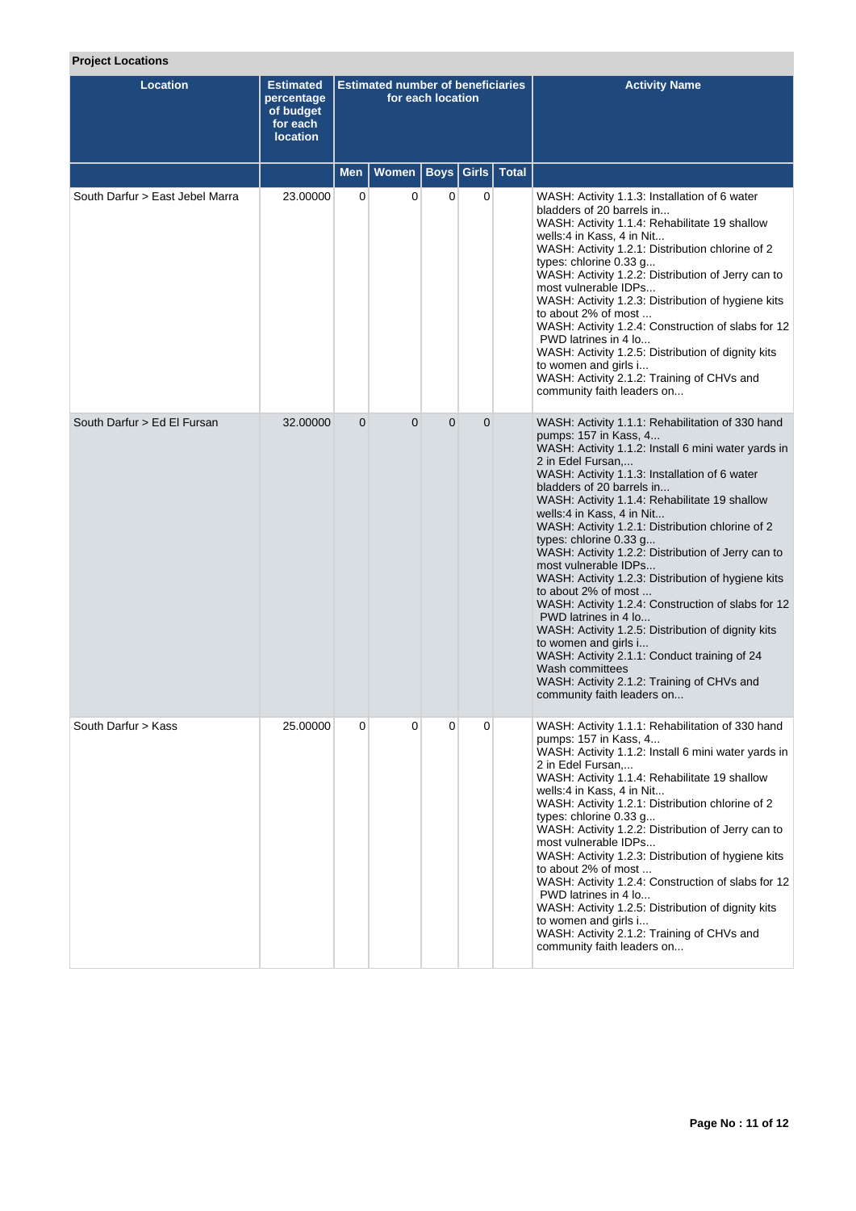| <b>Location</b>                 | <b>Estimated</b><br>percentage<br>of budget<br>for each<br><b>location</b> | <b>Estimated number of beneficiaries</b><br>for each location |          |                |                |               | <b>Activity Name</b>                                                                                                                                                                                                                                                                                                                                                                                                                                                                                                                                                                                                                                                                                                                                                                                                                                                  |  |  |
|---------------------------------|----------------------------------------------------------------------------|---------------------------------------------------------------|----------|----------------|----------------|---------------|-----------------------------------------------------------------------------------------------------------------------------------------------------------------------------------------------------------------------------------------------------------------------------------------------------------------------------------------------------------------------------------------------------------------------------------------------------------------------------------------------------------------------------------------------------------------------------------------------------------------------------------------------------------------------------------------------------------------------------------------------------------------------------------------------------------------------------------------------------------------------|--|--|
|                                 |                                                                            | <b>Men</b>                                                    | Women    | Boys           |                | Girls   Total |                                                                                                                                                                                                                                                                                                                                                                                                                                                                                                                                                                                                                                                                                                                                                                                                                                                                       |  |  |
| South Darfur > East Jebel Marra | 23.00000                                                                   | 0                                                             | 0        | 0              | $\mathbf 0$    |               | WASH: Activity 1.1.3: Installation of 6 water<br>bladders of 20 barrels in<br>WASH: Activity 1.1.4: Rehabilitate 19 shallow<br>wells:4 in Kass, 4 in Nit<br>WASH: Activity 1.2.1: Distribution chlorine of 2<br>types: chlorine 0.33 g<br>WASH: Activity 1.2.2: Distribution of Jerry can to<br>most vulnerable IDPs<br>WASH: Activity 1.2.3: Distribution of hygiene kits<br>to about 2% of most<br>WASH: Activity 1.2.4: Construction of slabs for 12<br>PWD latrines in 4 lo<br>WASH: Activity 1.2.5: Distribution of dignity kits<br>to women and girls i<br>WASH: Activity 2.1.2: Training of CHVs and<br>community faith leaders on                                                                                                                                                                                                                             |  |  |
| South Darfur > Ed El Fursan     | 32.00000                                                                   | $\overline{0}$                                                | $\Omega$ | $\overline{0}$ | $\overline{0}$ |               | WASH: Activity 1.1.1: Rehabilitation of 330 hand<br>pumps: 157 in Kass, 4<br>WASH: Activity 1.1.2: Install 6 mini water yards in<br>2 in Edel Fursan,<br>WASH: Activity 1.1.3: Installation of 6 water<br>bladders of 20 barrels in<br>WASH: Activity 1.1.4: Rehabilitate 19 shallow<br>wells:4 in Kass, 4 in Nit<br>WASH: Activity 1.2.1: Distribution chlorine of 2<br>types: chlorine 0.33 g<br>WASH: Activity 1.2.2: Distribution of Jerry can to<br>most vulnerable IDPs<br>WASH: Activity 1.2.3: Distribution of hygiene kits<br>to about 2% of most<br>WASH: Activity 1.2.4: Construction of slabs for 12<br>PWD latrines in 4 lo<br>WASH: Activity 1.2.5: Distribution of dignity kits<br>to women and girls i<br>WASH: Activity 2.1.1: Conduct training of 24<br>Wash committees<br>WASH: Activity 2.1.2: Training of CHVs and<br>community faith leaders on |  |  |
| South Darfur > Kass             | 25.00000                                                                   | 0                                                             | 0        | 0              | 0              |               | WASH: Activity 1.1.1: Rehabilitation of 330 hand<br>pumps: 157 in Kass, 4<br>WASH: Activity 1.1.2: Install 6 mini water yards in<br>2 in Edel Fursan,<br>WASH: Activity 1.1.4: Rehabilitate 19 shallow<br>wells:4 in Kass, 4 in Nit<br>WASH: Activity 1.2.1: Distribution chlorine of 2<br>types: chlorine 0.33 g<br>WASH: Activity 1.2.2: Distribution of Jerry can to<br>most vulnerable IDPs<br>WASH: Activity 1.2.3: Distribution of hygiene kits<br>to about 2% of most<br>WASH: Activity 1.2.4: Construction of slabs for 12<br>PWD latrines in 4 lo<br>WASH: Activity 1.2.5: Distribution of dignity kits<br>to women and girls i<br>WASH: Activity 2.1.2: Training of CHVs and<br>community faith leaders on                                                                                                                                                  |  |  |